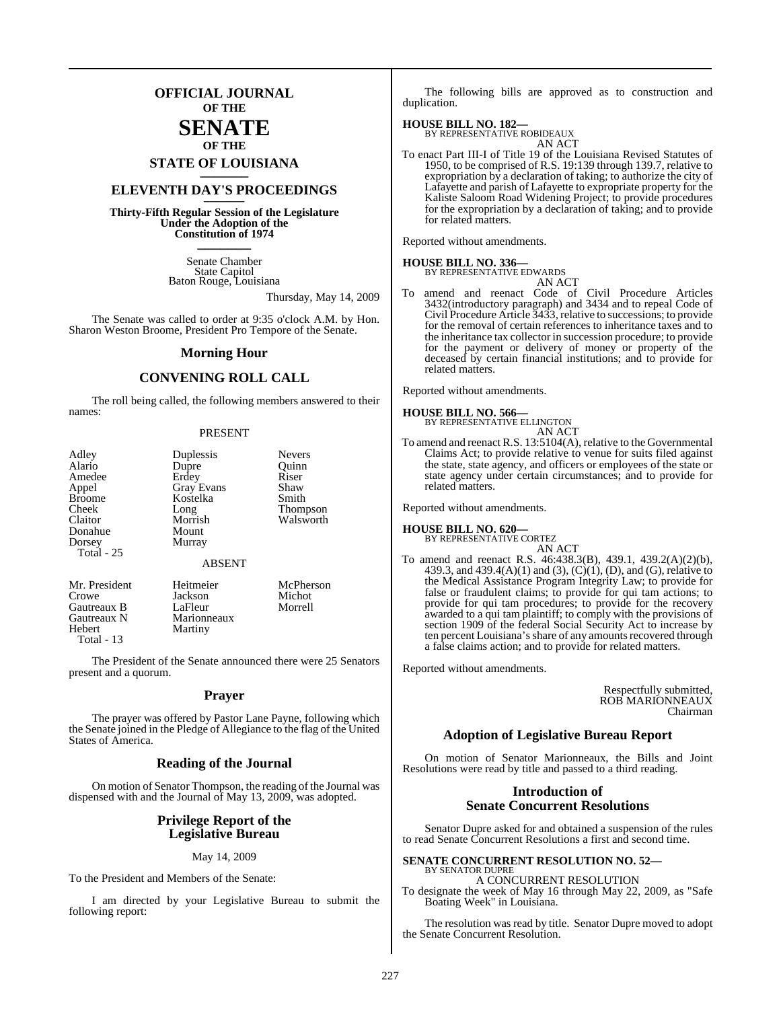### **OFFICIAL JOURNAL OF THE**

### **SENATE OF THE**

## **STATE OF LOUISIANA \_\_\_\_\_\_\_**

### **ELEVENTH DAY'S PROCEEDINGS \_\_\_\_\_\_\_**

**Thirty-Fifth Regular Session of the Legislature Under the Adoption of the Constitution of 1974 \_\_\_\_\_\_\_**

> Senate Chamber State Capitol Baton Rouge, Louisiana

> > Thursday, May 14, 2009

The Senate was called to order at 9:35 o'clock A.M. by Hon. Sharon Weston Broome, President Pro Tempore of the Senate.

#### **Morning Hour**

### **CONVENING ROLL CALL**

The roll being called, the following members answered to their names:

#### PRESENT

| Adley          | Duplessis         | <b>Nevers</b>      |
|----------------|-------------------|--------------------|
| Alario         | Dupre             | Ouinn              |
| Amedee         | Erdey             | Riser              |
| Appel          | <b>Gray Evans</b> | Shaw               |
| <b>Broome</b>  | Kostelka          | Smith              |
| Cheek          | Long              | <b>Thompson</b>    |
| Claitor        | Morrish           | Walsworth          |
| Donahue        | Mount             |                    |
| Dorsey         | Murray            |                    |
| Total - 25     |                   |                    |
|                | <b>ABSENT</b>     |                    |
| Mr. President  | Heitmeier         | McPherson<br>$M_0$ |
| $C_{\rm 2000}$ | <b>Logicon</b>    |                    |

Crowe Jackson Michot Gautreaux B LaFleur Morrell<br>
Gautreaux N Marionneaux Gautreaux N Marionneaux<br>
Hebert Martiny Martiny Total - 13

The President of the Senate announced there were 25 Senators present and a quorum.

#### **Prayer**

The prayer was offered by Pastor Lane Payne, following which the Senate joined in the Pledge of Allegiance to the flag of the United States of America.

### **Reading of the Journal**

On motion of Senator Thompson, the reading of the Journal was dispensed with and the Journal of May 13, 2009, was adopted.

### **Privilege Report of the Legislative Bureau**

#### May 14, 2009

To the President and Members of the Senate:

I am directed by your Legislative Bureau to submit the following report:

The following bills are approved as to construction and duplication.

#### **HOUSE BILL NO. 182—**

BY REPRESENTATIVE ROBIDEAUX

- AN ACT
- To enact Part III-I of Title 19 of the Louisiana Revised Statutes of 1950, to be comprised of R.S. 19:139 through 139.7, relative to expropriation by a declaration of taking; to authorize the city of Lafayette and parish of Lafayette to expropriate property for the Kaliste Saloom Road Widening Project; to provide procedures for the expropriation by a declaration of taking; and to provide for related matters.

Reported without amendments.

**HOUSE BILL NO. 336—** BY REPRESENTATIVE EDWARDS AN ACT

To amend and reenact Code of Civil Procedure Articles 3432(introductory paragraph) and 3434 and to repeal Code of Civil Procedure Article 3433, relative to successions; to provide for the removal of certain references to inheritance taxes and to the inheritance tax collector in succession procedure; to provide for the payment or delivery of money or property of the deceased by certain financial institutions; and to provide for related matters.

Reported without amendments.

#### **HOUSE BILL NO. 566—**

BY REPRESENTATIVE ELLINGTON AN ACT

To amend and reenact R.S. 13:5104(A), relative to the Governmental Claims Act; to provide relative to venue for suits filed against the state, state agency, and officers or employees of the state or state agency under certain circumstances; and to provide for related matters.

Reported without amendments.

### **HOUSE BILL NO. 620—** BY REPRESENTATIVE CORTEZ

- AN ACT
- To amend and reenact R.S. 46:438.3(B), 439.1, 439.2(A)(2)(b), 439.3, and 439.4(A)(1) and (3), (C)(1), (D), and (G), relative to the Medical Assistance Program Integrity Law; to provide for false or fraudulent claims; to provide for qui tam actions; to provide for qui tam procedures; to provide for the recovery awarded to a qui tam plaintiff; to comply with the provisions of section 1909 of the federal Social Security Act to increase by ten percent Louisiana's share of any amounts recovered through a false claims action; and to provide for related matters.

Reported without amendments.

Respectfully submitted, ROB MARIONNEAUX Chairman

### **Adoption of Legislative Bureau Report**

On motion of Senator Marionneaux, the Bills and Joint Resolutions were read by title and passed to a third reading.

### **Introduction of Senate Concurrent Resolutions**

Senator Dupre asked for and obtained a suspension of the rules to read Senate Concurrent Resolutions a first and second time.

**SENATE CONCURRENT RESOLUTION NO. 52—** BY SENATOR DUPRE A CONCURRENT RESOLUTION

To designate the week of May 16 through May 22, 2009, as "Safe Boating Week" in Louisiana.

The resolution was read by title. Senator Dupre moved to adopt the Senate Concurrent Resolution.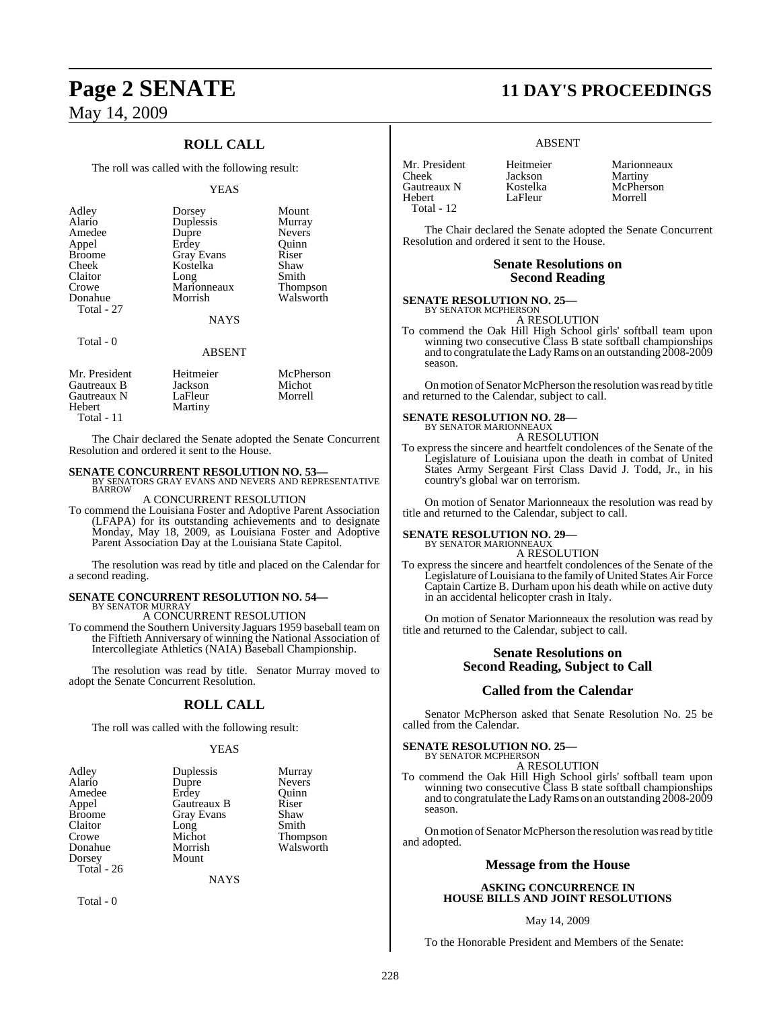### May 14, 2009

### **ROLL CALL**

The roll was called with the following result:

#### YEAS

| Adley<br>Alario<br>Amedee<br>Appel<br><b>Broome</b><br>Cheek<br>Claitor<br>Crowe<br>Donahue<br>Total - 27 | Dorsey<br>Duplessis<br>Dupre<br>Erdey<br><b>Gray Evans</b><br>Kostelka<br>Long<br>Marionneaux<br>Morrish | Mount<br>Murray<br><b>Nevers</b><br>Ouinn<br>Riser<br>Shaw<br>Smith<br><b>Thompson</b><br>Walsworth |
|-----------------------------------------------------------------------------------------------------------|----------------------------------------------------------------------------------------------------------|-----------------------------------------------------------------------------------------------------|
|                                                                                                           | <b>NAYS</b>                                                                                              |                                                                                                     |
| Total - 0                                                                                                 |                                                                                                          |                                                                                                     |

### ABSENT

| Mr. President | Heitmeier | McPherson |
|---------------|-----------|-----------|
| Gautreaux B   | Jackson   | Michot    |
| Gautreaux N   | LaFleur   | Morrell   |
| Hebert        | Martiny   |           |
| Total - 11    |           |           |

The Chair declared the Senate adopted the Senate Concurrent Resolution and ordered it sent to the House.

## **SENATE CONCURRENT RESOLUTION NO. 53—BY SENATORS GRAY EVANS AND NEVERS AND REPRESENTATIVE BARROW**

#### A CONCURRENT RESOLUTION

To commend the Louisiana Foster and Adoptive Parent Association (LFAPA) for its outstanding achievements and to designate Monday, May 18, 2009, as Louisiana Foster and Adoptive Parent Association Day at the Louisiana State Capitol.

The resolution was read by title and placed on the Calendar for a second reading.

### **SENATE CONCURRENT RESOLUTION NO. 54—**

BY SENATOR MURRAY A CONCURRENT RESOLUTION

To commend the Southern University Jaguars 1959 baseball team on the Fiftieth Anniversary of winning the National Association of Intercollegiate Athletics (NAIA) Baseball Championship.

The resolution was read by title. Senator Murray moved to adopt the Senate Concurrent Resolution.

#### **ROLL CALL**

The roll was called with the following result:

#### YEAS

| Adley         | Duplessis   | Murray        |
|---------------|-------------|---------------|
| Alario        | Dupre       | <b>Nevers</b> |
| Amedee        | Erdey       | Ouinn         |
| Appel         | Gautreaux B | Riser         |
| <b>Broome</b> | Gray Evans  | Shaw          |
| Claitor       | Long        | Smith         |
| Crowe         | Michot      | Thompson      |
| Donahue       | Morrish     | Walsworth     |
| Dorsey        | Mount       |               |
| Total - 26    |             |               |

**NAYS** 

Total - 0

## **Page 2 SENATE 11 DAY'S PROCEEDINGS**

#### ABSENT

LaFleur

| Mr. President |
|---------------|
| Cheek         |
| Gautreaux N   |
| Hebert        |
| Total - 12    |

Heitmeier Marionneaux<br>
Iackson Martiny Jackson Martiny<br>Kostelka McPhers McPherson<br>Morrell

The Chair declared the Senate adopted the Senate Concurrent Resolution and ordered it sent to the House.

#### **Senate Resolutions on Second Reading**

#### **SENATE RESOLUTION NO. 25—** BY SENATOR MCPHERSON

A RESOLUTION

To commend the Oak Hill High School girls' softball team upon winning two consecutive Class B state softball championships and to congratulate the Lady Rams on an outstanding 2008-2009 season.

On motion of Senator McPherson the resolution was read by title and returned to the Calendar, subject to call.

### **SENATE RESOLUTION NO. 28—** BY SENATOR MARIONNEAUX

A RESOLUTION

To express the sincere and heartfelt condolences of the Senate of the Legislature of Louisiana upon the death in combat of United States Army Sergeant First Class David J. Todd, Jr., in his country's global war on terrorism.

On motion of Senator Marionneaux the resolution was read by title and returned to the Calendar, subject to call.

#### **SENATE RESOLUTION NO. 29—** BY SENATOR MARIONNEAUX

A RESOLUTION

To express the sincere and heartfelt condolences of the Senate of the Legislature of Louisiana to the family of United States Air Force Captain Cartize B. Durham upon his death while on active duty in an accidental helicopter crash in Italy.

On motion of Senator Marionneaux the resolution was read by title and returned to the Calendar, subject to call.

### **Senate Resolutions on Second Reading, Subject to Call**

#### **Called from the Calendar**

Senator McPherson asked that Senate Resolution No. 25 be called from the Calendar.

#### **SENATE RESOLUTION NO. 25—** BY SENATOR MCPHERSON

A RESOLUTION

To commend the Oak Hill High School girls' softball team upon winning two consecutive Class B state softball championships and to congratulate theLadyRams on an outstanding 2008-2009 season.

On motion of Senator McPherson the resolution was read by title and adopted.

#### **Message from the House**

#### **ASKING CONCURRENCE IN HOUSE BILLS AND JOINT RESOLUTIONS**

May 14, 2009

To the Honorable President and Members of the Senate: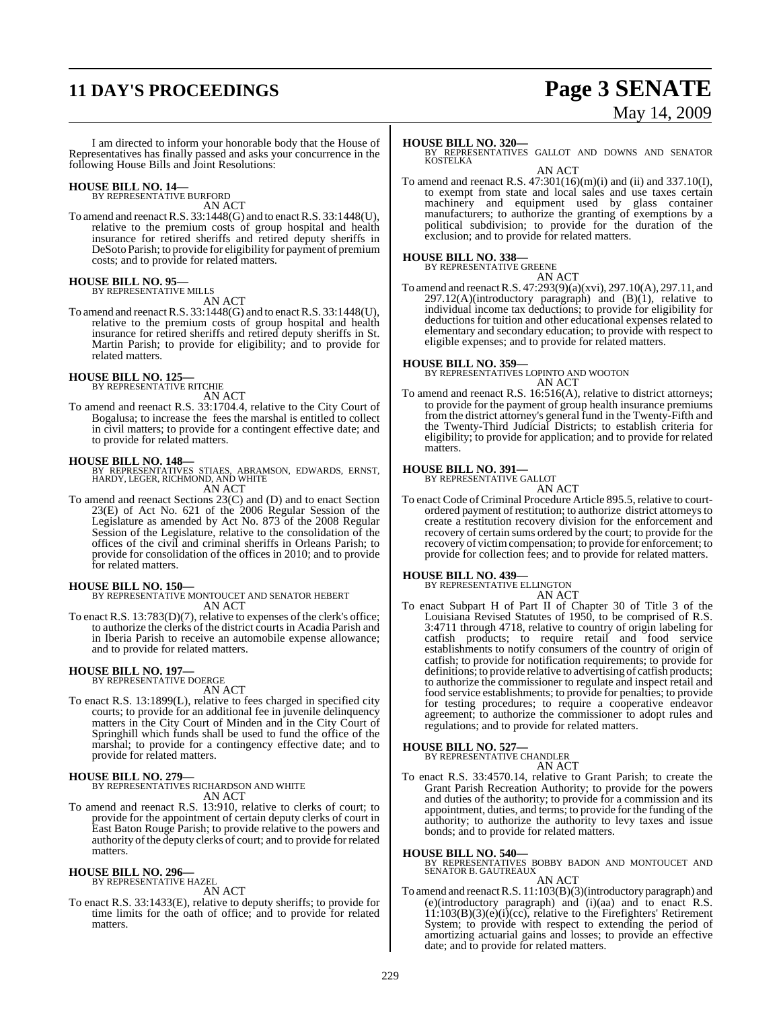## **11 DAY'S PROCEEDINGS Page 3 SENATE**

# May 14, 2009

I am directed to inform your honorable body that the House of Representatives has finally passed and asks your concurrence in the following House Bills and Joint Resolutions:

## **HOUSE BILL NO. 14—** BY REPRESENTATIVE BURFORD

AN ACT

To amend and reenactR.S. 33:1448(G) and to enactR.S. 33:1448(U), relative to the premium costs of group hospital and health insurance for retired sheriffs and retired deputy sheriffs in DeSoto Parish; to provide for eligibility for payment of premium costs; and to provide for related matters.

#### **HOUSE BILL NO. 95—** BY REPRESENTATIVE MILLS

AN ACT

To amend and reenactR.S. 33:1448(G) and to enactR.S. 33:1448(U), relative to the premium costs of group hospital and health insurance for retired sheriffs and retired deputy sheriffs in St. Martin Parish; to provide for eligibility; and to provide for related matters.

#### **HOUSE BILL NO. 125—** BY REPRESENTATIVE RITCHIE

AN ACT

To amend and reenact R.S. 33:1704.4, relative to the City Court of Bogalusa; to increase the fees the marshal is entitled to collect in civil matters; to provide for a contingent effective date; and to provide for related matters.

**HOUSE BILL NO. 148—** BY REPRESENTATIVES STIAES, ABRAMSON, EDWARDS, ERNST, HARDY, LEGER, RICHMOND, AND WHITE AN ACT

To amend and reenact Sections 23(C) and (D) and to enact Section 23(E) of Act No. 621 of the 2006 Regular Session of the Legislature as amended by Act No. 873 of the 2008 Regular Session of the Legislature, relative to the consolidation of the offices of the civil and criminal sheriffs in Orleans Parish; to provide for consolidation of the offices in 2010; and to provide for related matters.

**HOUSE BILL NO. 150—** BY REPRESENTATIVE MONTOUCET AND SENATOR HEBERT AN ACT

To enact R.S. 13:783(D)(7), relative to expenses of the clerk's office; to authorize the clerks of the district courts in Acadia Parish and in Iberia Parish to receive an automobile expense allowance; and to provide for related matters.

#### **HOUSE BILL NO. 197—** BY REPRESENTATIVE DOERGE

AN ACT

To enact R.S. 13:1899(L), relative to fees charged in specified city courts; to provide for an additional fee in juvenile delinquency matters in the City Court of Minden and in the City Court of Springhill which funds shall be used to fund the office of the marshal; to provide for a contingency effective date; and to provide for related matters.

#### **HOUSE BILL NO. 279—**

BY REPRESENTATIVES RICHARDSON AND WHITE AN ACT

To amend and reenact R.S. 13:910, relative to clerks of court; to provide for the appointment of certain deputy clerks of court in East Baton Rouge Parish; to provide relative to the powers and authority of the deputy clerks of court; and to provide for related matters.

## **HOUSE BILL NO. 296—** BY REPRESENTATIVE HAZEL

AN ACT

To enact R.S. 33:1433(E), relative to deputy sheriffs; to provide for time limits for the oath of office; and to provide for related matters.

#### **HOUSE BILL NO. 320—**

To amend and reenact R.S.  $47:301(16)(m)(i)$  and  $(ii)$  and  $337.10(I)$ , to exempt from state and local sales and use taxes certain machinery and equipment used by glass container manufacturers; to authorize the granting of exemptions by a political subdivision; to provide for the duration of the exclusion; and to provide for related matters.

### **HOUSE BILL NO. 338—** BY REPRESENTATIVE GREENE

AN ACT

To amend and reenactR.S. 47:293(9)(a)(xvi), 297.10(A), 297.11, and 297.12(A)(introductory paragraph) and (B)(1), relative to individual income tax deductions; to provide for eligibility for deductions for tuition and other educational expenses related to elementary and secondary education; to provide with respect to eligible expenses; and to provide for related matters.

#### **HOUSE BILL NO. 359—**

BY REPRESENTATIVES LOPINTO AND WOOTON AN ACT

To amend and reenact R.S. 16:516(A), relative to district attorneys; to provide for the payment of group health insurance premiums from the district attorney's general fund in the Twenty-Fifth and the Twenty-Third Judicial Districts; to establish criteria for eligibility; to provide for application; and to provide for related matters.

## **HOUSE BILL NO. 391—** BY REPRESENTATIVE GALLOT

AN ACT

To enact Code of Criminal Procedure Article 895.5, relative to courtordered payment ofrestitution; to authorize district attorneys to create a restitution recovery division for the enforcement and recovery of certain sums ordered by the court; to provide for the recovery of victimcompensation; to provide for enforcement; to provide for collection fees; and to provide for related matters.

**HOUSE BILL NO. 439—** BY REPRESENTATIVE ELLINGTON

AN ACT To enact Subpart H of Part II of Chapter 30 of Title 3 of the Louisiana Revised Statutes of 1950, to be comprised of R.S. 3:4711 through 4718, relative to country of origin labeling for catfish products; to require retail and food service establishments to notify consumers of the country of origin of catfish; to provide for notification requirements; to provide for definitions; to provide relative to advertising of catfish products; to authorize the commissioner to regulate and inspect retail and food service establishments; to provide for penalties; to provide for testing procedures; to require a cooperative endeavor agreement; to authorize the commissioner to adopt rules and regulations; and to provide for related matters.

## **HOUSE BILL NO. 527—** BY REPRESENTATIVE CHANDLER

AN ACT

To enact R.S. 33:4570.14, relative to Grant Parish; to create the Grant Parish Recreation Authority; to provide for the powers and duties of the authority; to provide for a commission and its appointment, duties, and terms; to provide for the funding of the authority; to authorize the authority to levy taxes and issue bonds; and to provide for related matters.

**HOUSE BILL NO. 540—** BY REPRESENTATIVES BOBBY BADON AND MONTOUCET AND SENATOR B. GAUTREAUX

#### AN ACT

To amend and reenactR.S. 11:103(B)(3)(introductory paragraph) and (e)(introductory paragraph) and  $(i)(aa)$  and to enact R.S. 11:103(B)(3)(e)(i)(cc), relative to the Firefighters' Retirement System; to provide with respect to extending the period of amortizing actuarial gains and losses; to provide an effective date; and to provide for related matters.

BY REPRESENTATIVES GALLOT AND DOWNS AND SENATOR **KOSTELKA** AN ACT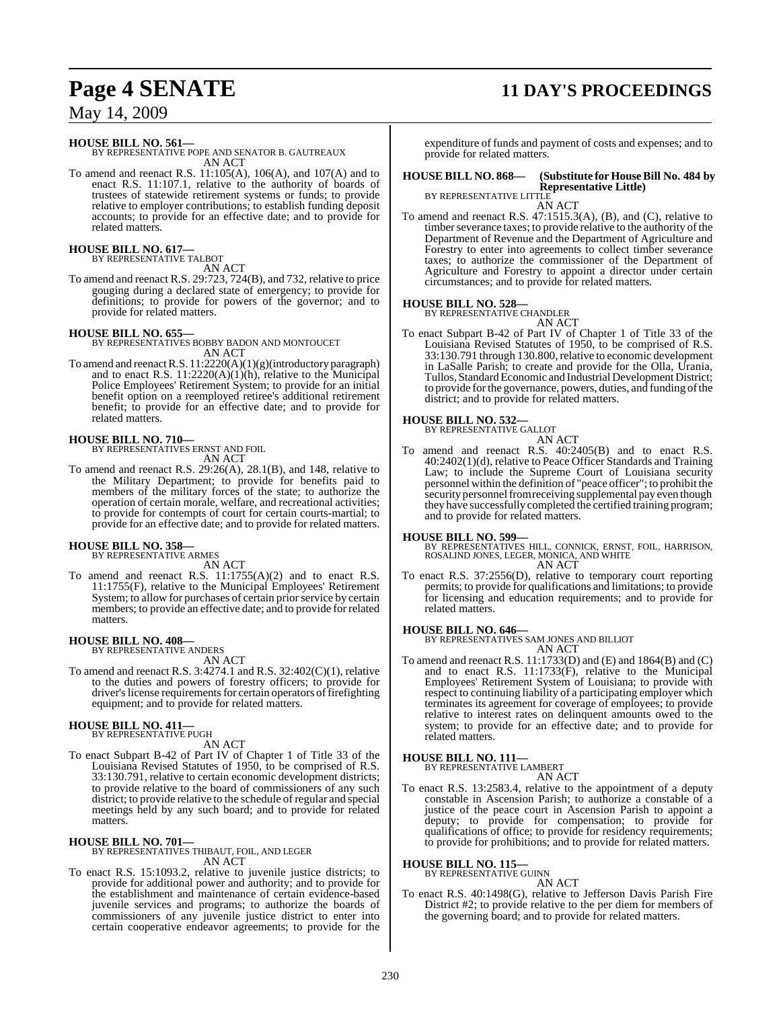## **Page 4 SENATE 11 DAY'S PROCEEDINGS**

May 14, 2009

**HOUSE BILL NO. 561—** BY REPRESENTATIVE POPE AND SENATOR B. GAUTREAUX AN ACT

To amend and reenact R.S. 11:105(A), 106(A), and 107(A) and to enact R.S. 11:107.1, relative to the authority of boards of trustees of statewide retirement systems or funds; to provide relative to employer contributions; to establish funding deposit accounts; to provide for an effective date; and to provide for related matters.

### **HOUSE BILL NO. 617—** BY REPRESENTATIVE TALBOT

AN ACT

To amend and reenact R.S. 29:723, 724(B), and 732, relative to price gouging during a declared state of emergency; to provide for definitions; to provide for powers of the governor; and to provide for related matters.

**HOUSE BILL NO. 655—** BY REPRESENTATIVES BOBBY BADON AND MONTOUCET AN ACT

To amend and reenact R.S. 11:2220(A)(1)(g)(introductory paragraph) and to enact R.S.  $11:2220(A)(1)(h)$ , relative to the Municipal Police Employees' Retirement System; to provide for an initial benefit option on a reemployed retiree's additional retirement benefit; to provide for an effective date; and to provide for related matters.

### **HOUSE BILL NO. 710—**

BY REPRESENTATIVES ERNST AND FOIL AN ACT

To amend and reenact R.S. 29:26(A), 28.1(B), and 148, relative to the Military Department; to provide for benefits paid to members of the military forces of the state; to authorize the operation of certain morale, welfare, and recreational activities; to provide for contempts of court for certain courts-martial; to provide for an effective date; and to provide for related matters.

## **HOUSE BILL NO. 358—** BY REPRESENTATIVE ARMES

AN ACT

To amend and reenact R.S. 11:1755(A)(2) and to enact R.S. 11:1755(F), relative to the Municipal Employees' Retirement System; to allow for purchases of certain prior service by certain members; to provide an effective date; and to provide for related matters.

## **HOUSE BILL NO. 408—** BY REPRESENTATIVE ANDERS

AN ACT

To amend and reenact R.S. 3:4274.1 and R.S. 32:402(C)(1), relative to the duties and powers of forestry officers; to provide for driver's license requirements for certain operators of firefighting equipment; and to provide for related matters.

#### **HOUSE BILL NO. 411—** BY REPRESENTATIVE PUGH

AN ACT

To enact Subpart B-42 of Part IV of Chapter 1 of Title 33 of the Louisiana Revised Statutes of 1950, to be comprised of R.S. 33:130.791, relative to certain economic development districts; to provide relative to the board of commissioners of any such district; to provide relative to the schedule of regular and special meetings held by any such board; and to provide for related matters.

**HOUSE BILL NO. 701—** BY REPRESENTATIVES THIBAUT, FOIL, AND LEGER AN ACT

To enact R.S. 15:1093.2, relative to juvenile justice districts; to provide for additional power and authority; and to provide for the establishment and maintenance of certain evidence-based juvenile services and programs; to authorize the boards of commissioners of any juvenile justice district to enter into certain cooperative endeavor agreements; to provide for the

expenditure of funds and payment of costs and expenses; and to provide for related matters.

#### **HOUSE BILL NO. 868— (Substitute for HouseBill No. 484 by Representative Little)** BY REPRESENTATIVE LITTLE

AN ACT

To amend and reenact R.S. 47:1515.3(A), (B), and (C), relative to timber severance taxes; to provide relative to the authority of the Department of Revenue and the Department of Agriculture and Forestry to enter into agreements to collect timber severance taxes; to authorize the commissioner of the Department of Agriculture and Forestry to appoint a director under certain circumstances; and to provide for related matters.

#### **HOUSE BILL NO. 528—**

BY REPRESENTATIVE CHANDLER AN ACT

To enact Subpart B-42 of Part IV of Chapter 1 of Title 33 of the Louisiana Revised Statutes of 1950, to be comprised of R.S. 33:130.791 through 130.800,relative to economic development in LaSalle Parish; to create and provide for the Olla, Urania, Tullos, Standard Economic and Industrial Development District; to provide for the governance, powers, duties, and funding of the district; and to provide for related matters.

#### **HOUSE BILL NO. 532—**

BY REPRESENTATIVE GALLOT

- AN ACT
- To amend and reenact R.S. 40:2405(B) and to enact R.S. 40:2402(1)(d), relative to Peace Officer Standards and Training Law; to include the Supreme Court of Louisiana security personnel within the definition of "peace officer"; to prohibit the security personnel from receiving supplemental pay even though they have successfully completed the certified training program; and to provide for related matters.

#### **HOUSE BILL NO. 599—**

BY REPRESENTATIVES HILL, CONNICK, ERNST, FOIL, HARRISON, ROSALIND JONES, LEGER, MONICA, AND WHITE AN ACT

To enact R.S. 37:2556(D), relative to temporary court reporting permits; to provide for qualifications and limitations; to provide for licensing and education requirements; and to provide for related matters.

**HOUSE BILL NO. 646—** BY REPRESENTATIVES SAM JONES AND BILLIOT AN ACT

- 
- To amend and reenact R.S. 11:1733(D) and (E) and 1864(B) and (C) and to enact R.S. 11:1733(F), relative to the Municipal Employees' Retirement System of Louisiana; to provide with respect to continuing liability of a participating employer which terminates its agreement for coverage of employees; to provide relative to interest rates on delinquent amounts owed to the system; to provide for an effective date; and to provide for related matters.

## **HOUSE BILL NO. 111—** BY REPRESENTATIVE LAMBERT

AN ACT

To enact R.S. 13:2583.4, relative to the appointment of a deputy constable in Ascension Parish; to authorize a constable of a justice of the peace court in Ascension Parish to appoint a deputy; to provide for compensation; to provide for qualifications of office; to provide for residency requirements; to provide for prohibitions; and to provide for related matters.

#### **HOUSE BILL NO. 115—**

BY REPRESENTATIVE GUINN

#### AN ACT

To enact R.S. 40:1498(G), relative to Jefferson Davis Parish Fire District #2; to provide relative to the per diem for members of the governing board; and to provide for related matters.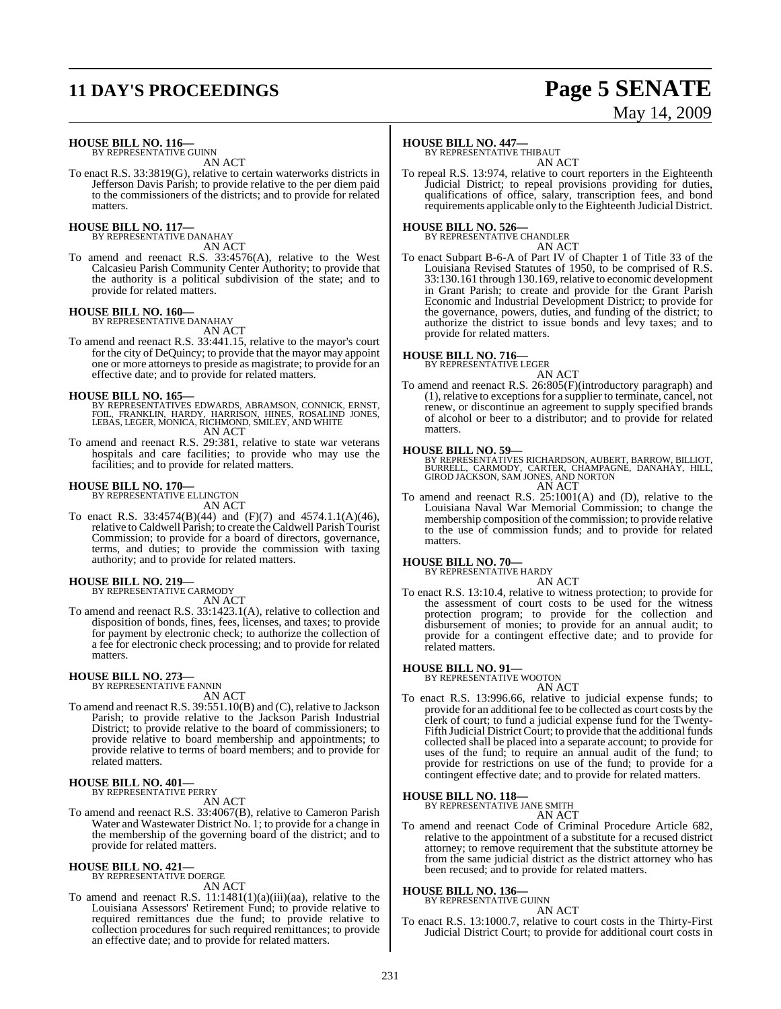## **11 DAY'S PROCEEDINGS Page 5 SENATE**

# May 14, 2009

**HOUSE BILL NO. 116—** BY REPRESENTATIVE GUINN

AN ACT

To enact R.S. 33:3819(G), relative to certain waterworks districts in Jefferson Davis Parish; to provide relative to the per diem paid to the commissioners of the districts; and to provide for related matters.

### **HOUSE BILL NO. 117—** BY REPRESENTATIVE DANAHAY

AN ACT

To amend and reenact R.S. 33:4576(A), relative to the West Calcasieu Parish Community Center Authority; to provide that the authority is a political subdivision of the state; and to provide for related matters.

## **HOUSE BILL NO. 160—** BY REPRESENTATIVE DANAHAY

AN ACT

To amend and reenact R.S. 33:441.15, relative to the mayor's court for the city of DeQuincy; to provide that the mayor may appoint one or more attorneys to preside as magistrate; to provide for an effective date; and to provide for related matters.

**HOUSE BILL NO. 165—**<br>BY REPRESENTATIVES EDWARDS, ABRAMSON, CONNICK, ERNST,<br>FOIL, FRANKLIN, HARDY, HARRISON, HINES, ROSALIND JONES,<br>LEBAS, LEGER, MONICA, RICHMOND, SMILEY, AND WHITE AN ACT

To amend and reenact R.S. 29:381, relative to state war veterans

hospitals and care facilities; to provide who may use the facilities; and to provide for related matters.

#### **HOUSE BILL NO. 170—**

BY REPRESENTATIVE ELLINGTON AN ACT

To enact R.S. 33:4574(B)(44) and (F)(7) and 4574.1.1(A)(46), relative to Caldwell Parish; to create theCaldwell Parish Tourist Commission; to provide for a board of directors, governance, terms, and duties; to provide the commission with taxing authority; and to provide for related matters.

#### **HOUSE BILL NO. 219—**

BY REPRESENTATIVE CARMODY AN ACT

To amend and reenact R.S. 33:1423.1(A), relative to collection and disposition of bonds, fines, fees, licenses, and taxes; to provide for payment by electronic check; to authorize the collection of a fee for electronic check processing; and to provide for related matters.

## **HOUSE BILL NO. 273—** BY REPRESENTATIVE FANNIN

AN ACT

To amend and reenact R.S. 39:551.10(B) and (C), relative to Jackson Parish; to provide relative to the Jackson Parish Industrial District; to provide relative to the board of commissioners; to provide relative to board membership and appointments; to provide relative to terms of board members; and to provide for related matters.

#### **HOUSE BILL NO. 401—**

BY REPRESENTATIVE PERRY

AN ACT

To amend and reenact R.S. 33:4067(B), relative to Cameron Parish Water and Wastewater District No. 1; to provide for a change in the membership of the governing board of the district; and to provide for related matters.

## **HOUSE BILL NO. 421—** BY REPRESENTATIVE DOERGE

AN ACT

To amend and reenact R.S.  $11:1481(1)(a)(iii)(aa)$ , relative to the Louisiana Assessors' Retirement Fund; to provide relative to required remittances due the fund; to provide relative to collection procedures for such required remittances; to provide an effective date; and to provide for related matters.

### **HOUSE BILL NO. 447—**

BY REPRESENTATIVE THIBAUT AN ACT

To repeal R.S. 13:974, relative to court reporters in the Eighteenth Judicial District; to repeal provisions providing for duties, qualifications of office, salary, transcription fees, and bond requirements applicable only to the Eighteenth Judicial District.

### **HOUSE BILL NO. 526—** BY REPRESENTATIVE CHANDLER

AN ACT

To enact Subpart B-6-A of Part IV of Chapter 1 of Title 33 of the Louisiana Revised Statutes of 1950, to be comprised of R.S. 33:130.161 through 130.169, relative to economic development in Grant Parish; to create and provide for the Grant Parish Economic and Industrial Development District; to provide for the governance, powers, duties, and funding of the district; to authorize the district to issue bonds and levy taxes; and to provide for related matters.

**HOUSE BILL NO. 716—** BY REPRESENTATIVE LEGER

- AN ACT
- To amend and reenact R.S. 26:805(F)(introductory paragraph) and (1), relative to exceptionsfor a supplier to terminate, cancel, not renew, or discontinue an agreement to supply specified brands of alcohol or beer to a distributor; and to provide for related matters.

**HOUSE BILL NO. 59—** BY REPRESENTATIVES RICHARDSON, AUBERT, BARROW, BILLIOT, BURRELL, CARMODY, CARTER, CHAMPAGNE, DANAHAY, HILL, GIROD JACKSON, SAM JONES, AND NORTON AN ACT

To amend and reenact R.S. 25:1001(A) and (D), relative to the Louisiana Naval War Memorial Commission; to change the membership composition of the commission; to provide relative to the use of commission funds; and to provide for related matters.

### **HOUSE BILL NO. 70—**

BY REPRESENTATIVE HARDY AN ACT

To enact R.S. 13:10.4, relative to witness protection; to provide for the assessment of court costs to be used for the witness protection program; to provide for the collection and disbursement of monies; to provide for an annual audit; to provide for a contingent effective date; and to provide for related matters.

#### **HOUSE BILL NO. 91—**

BY REPRESENTATIVE WOOTON AN ACT

To enact R.S. 13:996.66, relative to judicial expense funds; to provide for an additional fee to be collected as court costs by the clerk of court; to fund a judicial expense fund for the Twenty-Fifth Judicial District Court; to provide that the additional funds collected shall be placed into a separate account; to provide for uses of the fund; to require an annual audit of the fund; to provide for restrictions on use of the fund; to provide for a contingent effective date; and to provide for related matters.

#### **HOUSE BILL NO. 118—**

BY REPRESENTATIVE JANE SMITH

AN ACT

To amend and reenact Code of Criminal Procedure Article 682, relative to the appointment of a substitute for a recused district attorney; to remove requirement that the substitute attorney be from the same judicial district as the district attorney who has been recused; and to provide for related matters.

#### **HOUSE BILL NO. 136—** BY REPRESENTATIVE GUINN

AN ACT

To enact R.S. 13:1000.7, relative to court costs in the Thirty-First Judicial District Court; to provide for additional court costs in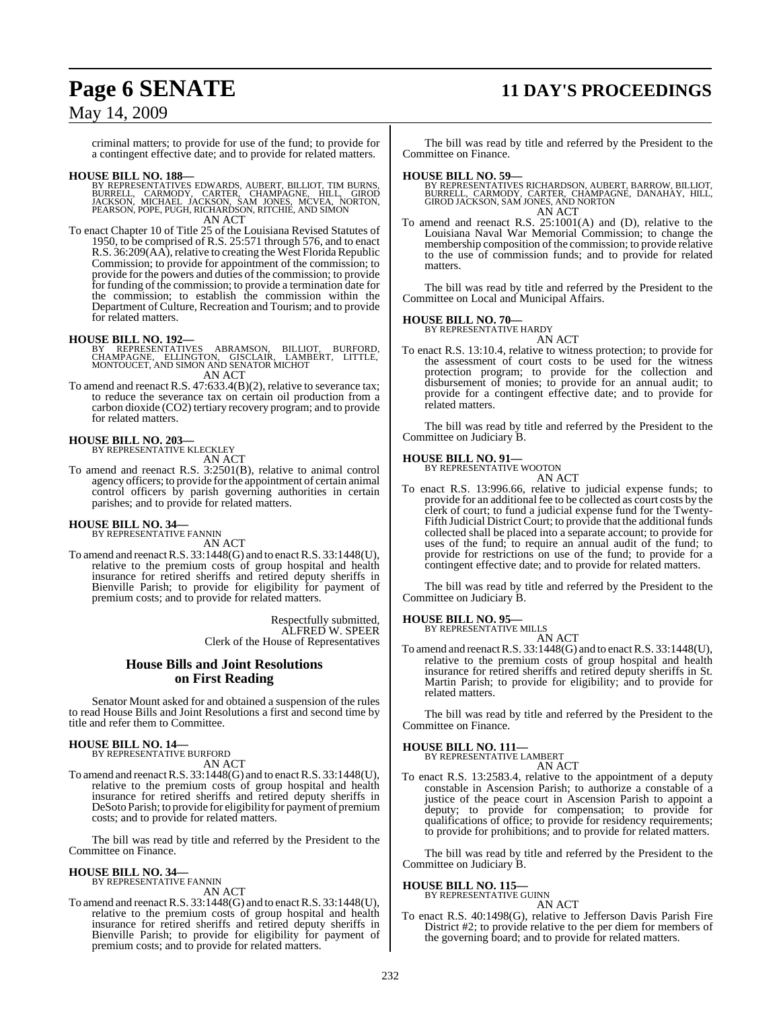## **Page 6 SENATE 11 DAY'S PROCEEDINGS**

### May 14, 2009

criminal matters; to provide for use of the fund; to provide for a contingent effective date; and to provide for related matters.

- **HOUSE BILL NO. 188—**<br>BY REPRESENTATIVES EDWARDS, AUBERT, BILLIOT, TIM BURNS, BURRELL, CARMODY, CARTER, CHAMPAGNE, HILL, GIROD<br>JACKSON, MICHAEL JACKSON, SAM JONES, MCVEA, NORTON,<br>PEARSON, POPE, PUGH, RICHARDSON, RITCHIE, A AN ACT
- To enact Chapter 10 of Title 25 of the Louisiana Revised Statutes of 1950, to be comprised of R.S. 25:571 through 576, and to enact R.S. 36:209(AA), relative to creating the West Florida Republic Commission; to provide for appointment of the commission; to provide for the powers and duties of the commission; to provide for funding of the commission; to provide a termination date for the commission; to establish the commission within the Department of Culture, Recreation and Tourism; and to provide for related matters.

- **HOUSE BILL NO. 192—**<br>BY REPRESENTATIVES ABRAMSON, BILLIOT, BURFORD,<br>CHAMPAGNE, ELLINGTON, GISCLAIR, LAMBERT, LITTLE,<br>MONTOUCET, AND SIMON AND SENATOR MICHOT AN ACT
- To amend and reenact R.S. 47:633.4(B)(2), relative to severance tax; to reduce the severance tax on certain oil production from a carbon dioxide (CO2) tertiary recovery program; and to provide for related matters.

### **HOUSE BILL NO. 203—**

BY REPRESENTATIVE KLECKLEY AN ACT

To amend and reenact R.S. 3:2501(B), relative to animal control agency officers; to provide forthe appointment of certain animal control officers by parish governing authorities in certain parishes; and to provide for related matters.

### **HOUSE BILL NO. 34—**

BY REPRESENTATIVE FANNIN AN ACT

To amend and reenact R.S.  $33:1448(G)$  and to enact R.S.  $33:1448(U)$ , relative to the premium costs of group hospital and health insurance for retired sheriffs and retired deputy sheriffs in Bienville Parish; to provide for eligibility for payment of premium costs; and to provide for related matters.

> Respectfully submitted, ALFRED W. SPEER Clerk of the House of Representatives

### **House Bills and Joint Resolutions on First Reading**

Senator Mount asked for and obtained a suspension of the rules to read House Bills and Joint Resolutions a first and second time by title and refer them to Committee.

## **HOUSE BILL NO. 14—** BY REPRESENTATIVE BURFORD

AN ACT

To amend and reenactR.S. 33:1448(G) and to enactR.S. 33:1448(U), relative to the premium costs of group hospital and health insurance for retired sheriffs and retired deputy sheriffs in DeSoto Parish; to provide for eligibility for payment of premium costs; and to provide for related matters.

The bill was read by title and referred by the President to the Committee on Finance.

#### **HOUSE BILL NO. 34—**

BY REPRESENTATIVE FANNIN AN ACT

To amend and reenactR.S. 33:1448(G) and to enactR.S. 33:1448(U), relative to the premium costs of group hospital and health insurance for retired sheriffs and retired deputy sheriffs in Bienville Parish; to provide for eligibility for payment of premium costs; and to provide for related matters.

The bill was read by title and referred by the President to the Committee on Finance.

### **HOUSE BILL NO. 59—**

- BY REPRESENTATIVES RICHARDSON, AUBERT, BARROW, BILLIOT,<br>BURRELL, CARMODY, CARTER, CHAMPAGNE, DANAHAY, HILL,<br>GIROD JACKSON, SAM JONES, AND NORTON AN ACT
- To amend and reenact R.S. 25:1001(A) and (D), relative to the Louisiana Naval War Memorial Commission; to change the membership composition of the commission; to provide relative to the use of commission funds; and to provide for related matters.

The bill was read by title and referred by the President to the Committee on Local and Municipal Affairs.

#### **HOUSE BILL NO. 70—** BY REPRESENTATIVE HARDY

AN ACT

To enact R.S. 13:10.4, relative to witness protection; to provide for the assessment of court costs to be used for the witness protection program; to provide for the collection and disbursement of monies; to provide for an annual audit; to provide for a contingent effective date; and to provide for related matters.

The bill was read by title and referred by the President to the Committee on Judiciary B.

### **HOUSE BILL NO. 91—** BY REPRESENTATIVE WOOTON

AN ACT

To enact R.S. 13:996.66, relative to judicial expense funds; to provide for an additional fee to be collected as court costs by the clerk of court; to fund a judicial expense fund for the Twenty-Fifth Judicial District Court; to provide that the additional funds collected shall be placed into a separate account; to provide for uses of the fund; to require an annual audit of the fund; to provide for restrictions on use of the fund; to provide for a contingent effective date; and to provide for related matters.

The bill was read by title and referred by the President to the Committee on Judiciary B.

#### **HOUSE BILL NO. 95—** BY REPRESENTATIVE MILLS

AN ACT

To amend and reenact R.S. 33:1448(G) and to enact R.S. 33:1448(U), relative to the premium costs of group hospital and health insurance for retired sheriffs and retired deputy sheriffs in St. Martin Parish; to provide for eligibility; and to provide for related matters.

The bill was read by title and referred by the President to the Committee on Finance.

**HOUSE BILL NO. 111—** BY REPRESENTATI

AN ACT

To enact R.S. 13:2583.4, relative to the appointment of a deputy constable in Ascension Parish; to authorize a constable of a justice of the peace court in Ascension Parish to appoint a deputy; to provide for compensation; to provide for qualifications of office; to provide for residency requirements; to provide for prohibitions; and to provide for related matters.

The bill was read by title and referred by the President to the Committee on Judiciary B.

### **HOUSE BILL NO. 115—**

BY REPRESENTATIVE GUINN AN ACT

To enact R.S. 40:1498(G), relative to Jefferson Davis Parish Fire District #2; to provide relative to the per diem for members of the governing board; and to provide for related matters.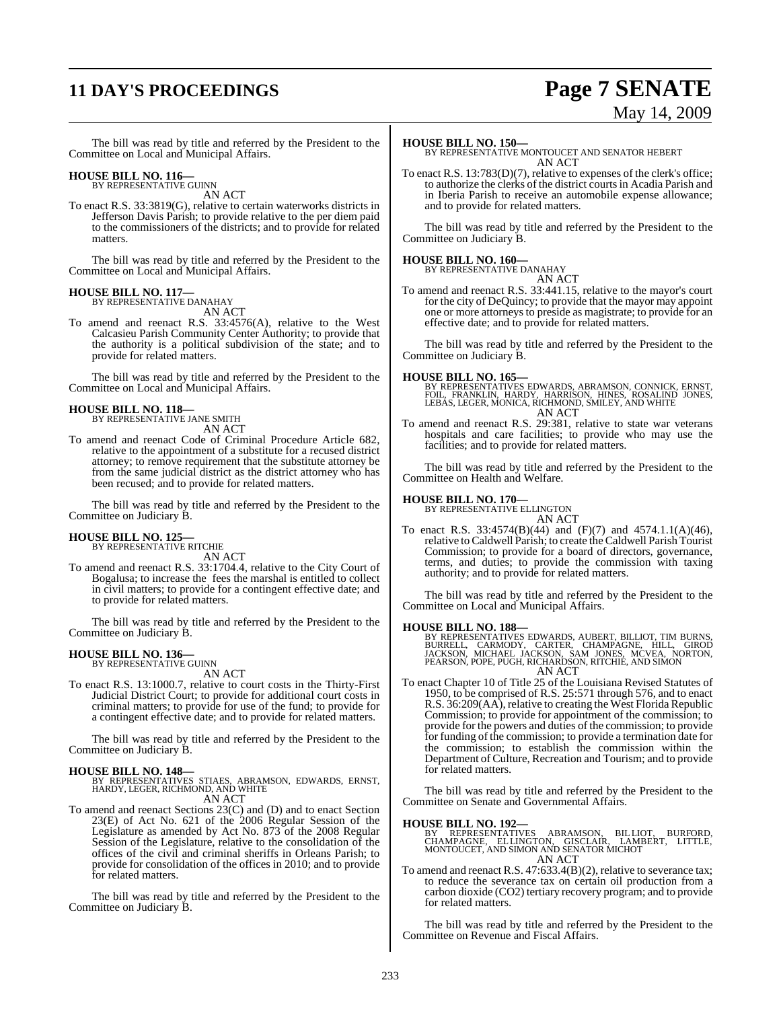## **11 DAY'S PROCEEDINGS Page 7 SENATE**

# May 14, 2009

The bill was read by title and referred by the President to the Committee on Local and Municipal Affairs.

### **HOUSE BILL NO. 116—** BY REPRESENTATIVE GUINN

AN ACT

To enact R.S. 33:3819(G), relative to certain waterworks districts in Jefferson Davis Parish; to provide relative to the per diem paid to the commissioners of the districts; and to provide for related matters.

The bill was read by title and referred by the President to the Committee on Local and Municipal Affairs.

#### **HOUSE BILL NO. 117—** BY REPRESENTATIVE DANAHAY

AN ACT

To amend and reenact R.S. 33:4576(A), relative to the West Calcasieu Parish Community Center Authority; to provide that the authority is a political subdivision of the state; and to provide for related matters.

The bill was read by title and referred by the President to the Committee on Local and Municipal Affairs.

### **HOUSE BILL NO. 118—**

BY REPRESENTATIVE JANE SMITH AN ACT

To amend and reenact Code of Criminal Procedure Article 682, relative to the appointment of a substitute for a recused district attorney; to remove requirement that the substitute attorney be from the same judicial district as the district attorney who has been recused; and to provide for related matters.

The bill was read by title and referred by the President to the Committee on Judiciary B.

#### **HOUSE BILL NO. 125—** BY REPRESENTATIVE RITCHIE

AN ACT

To amend and reenact R.S. 33:1704.4, relative to the City Court of Bogalusa; to increase the fees the marshal is entitled to collect in civil matters; to provide for a contingent effective date; and to provide for related matters.

The bill was read by title and referred by the President to the Committee on Judiciary B.

## **HOUSE BILL NO. 136—** BY REPRESENTATIVE GUINN

- AN ACT
- To enact R.S. 13:1000.7, relative to court costs in the Thirty-First Judicial District Court; to provide for additional court costs in criminal matters; to provide for use of the fund; to provide for a contingent effective date; and to provide for related matters.

The bill was read by title and referred by the President to the Committee on Judiciary B.

**HOUSE BILL NO. 148—** BY REPRESENTATIVES STIAES, ABRAMSON, EDWARDS, ERNST, HARDY, LEGER, RICHMOND, AND WHITE AN ACT

To amend and reenact Sections 23(C) and (D) and to enact Section 23(E) of Act No. 621 of the 2006 Regular Session of the Legislature as amended by Act No. 873 of the 2008 Regular Session of the Legislature, relative to the consolidation of the offices of the civil and criminal sheriffs in Orleans Parish; to provide for consolidation of the offices in 2010; and to provide for related matters.

The bill was read by title and referred by the President to the Committee on Judiciary B.

#### **HOUSE BILL NO. 150—**

BY REPRESENTATIVE MONTOUCET AND SENATOR HEBERT AN ACT

To enact R.S. 13:783(D)(7), relative to expenses of the clerk's office; to authorize the clerks of the district courtsin Acadia Parish and in Iberia Parish to receive an automobile expense allowance; and to provide for related matters.

The bill was read by title and referred by the President to the Committee on Judiciary B.

## **HOUSE BILL NO. 160—** BY REPRESENTATIVE DANAHAY

AN ACT

To amend and reenact R.S. 33:441.15, relative to the mayor's court for the city of DeQuincy; to provide that the mayor may appoint one or more attorneys to preside as magistrate; to provide for an effective date; and to provide for related matters.

The bill was read by title and referred by the President to the Committee on Judiciary B.

#### **HOUSE BILL NO. 165—**

BY REPRESENTATIVES EDWARDS, ABRAMSON, CONNICK, ERNST,<br>FOIL, FRANKLIN, HARDY, HARRISON, HINES, ROSALIND JONES,<br>LEBAS, LEGER, MONICA, RICHMOND, SMILEY, AND WHITE AN ACT

To amend and reenact R.S. 29:381, relative to state war veterans hospitals and care facilities; to provide who may use the facilities; and to provide for related matters.

The bill was read by title and referred by the President to the Committee on Health and Welfare.

#### **HOUSE BILL NO. 170—**

BY REPRESENTATIVE ELLINGTON AN ACT

To enact R.S. 33:4574(B)(44) and (F)(7) and 4574.1.1(A)(46), relative toCaldwell Parish; to create the Caldwell Parish Tourist Commission; to provide for a board of directors, governance, terms, and duties; to provide the commission with taxing authority; and to provide for related matters.

The bill was read by title and referred by the President to the Committee on Local and Municipal Affairs.

**HOUSE BILL NO. 188—**<br>BY REPRESENTATIVES EDWARDS, AUBERT, BILLIOT, TIM BURNS,<br>BURRELL, CARMODY, CARTER, CHAMPAGNE, HILL, GIROD<br>JACKSON, MICHAEL JACKSON, SAM JONES, MCVEA, NORTON,<br>PEARSON, POPE, PUGH, RICHARDSON, RITCHIE, A AN ACT

To enact Chapter 10 of Title 25 of the Louisiana Revised Statutes of 1950, to be comprised of R.S. 25:571 through 576, and to enact R.S. 36:209(AA), relative to creating the West Florida Republic Commission; to provide for appointment of the commission; to provide for the powers and duties of the commission; to provide for funding of the commission; to provide a termination date for the commission; to establish the commission within the Department of Culture, Recreation and Tourism; and to provide for related matters.

The bill was read by title and referred by the President to the Committee on Senate and Governmental Affairs.

- **HOUSE BILL NO. 192—**<br>BY REPRESENTATIVES ABRAMSON, BILLIOT, BURFORD,<br>CHAMPAGNE, ELLINGTON, GISCLAIR, LAMBERT, LITTLE,<br>MONTOUCET, AND SIMON AND SENATOR MICHOT<br>AN ACT
- To amend and reenact R.S. 47:633.4(B)(2), relative to severance tax; To amend and reenact R.S.  $47:633.4(B)(2)$ , relative to severance tax;<br>to reduce the severance tax on certain oil production from a carbon dioxide (CO2) tertiary recovery program; and to provide for related matters.

The bill was read by title and referred by the President to the Committee on Revenue and Fiscal Affairs.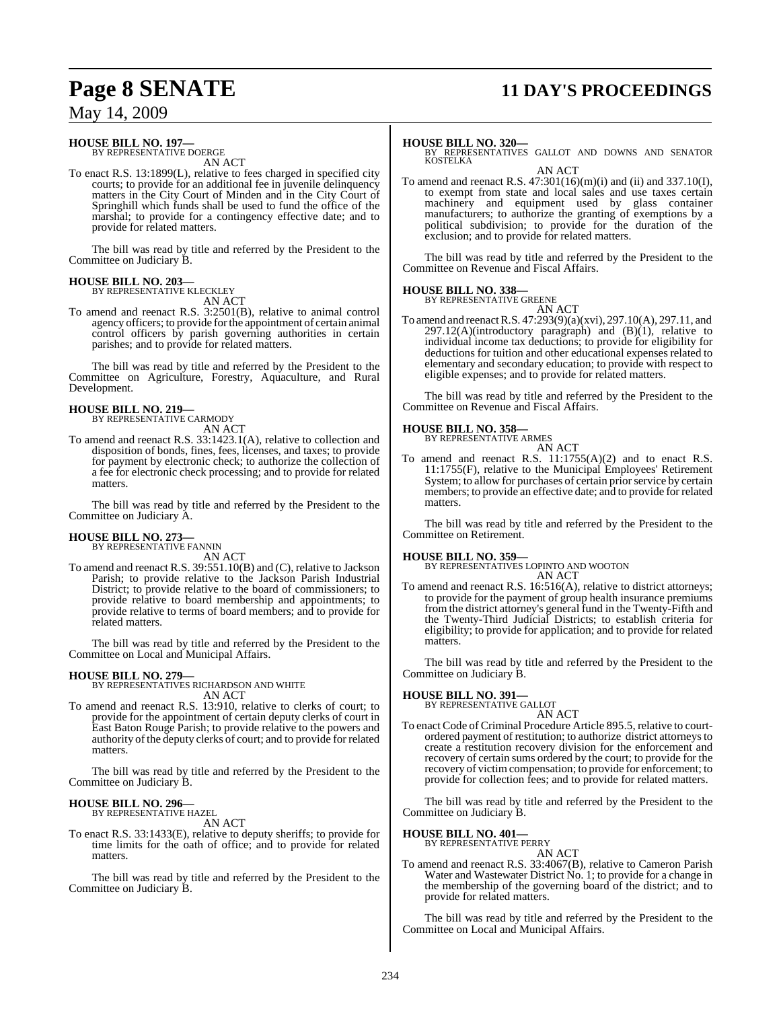## **Page 8 SENATE 11 DAY'S PROCEEDINGS**

May 14, 2009

#### **HOUSE BILL NO. 197—** BY REPRESENTATIVE DOERGE

AN ACT

To enact R.S. 13:1899(L), relative to fees charged in specified city courts; to provide for an additional fee in juvenile delinquency matters in the City Court of Minden and in the City Court of Springhill which funds shall be used to fund the office of the marshal; to provide for a contingency effective date; and to provide for related matters.

The bill was read by title and referred by the President to the Committee on Judiciary B.

#### **HOUSE BILL NO. 203—** BY REPRESENTATIVE KLECKLEY

AN ACT

To amend and reenact R.S. 3:2501(B), relative to animal control agency officers; to provide forthe appointment of certain animal control officers by parish governing authorities in certain parishes; and to provide for related matters.

The bill was read by title and referred by the President to the Committee on Agriculture, Forestry, Aquaculture, and Rural Development.

#### **HOUSE BILL NO. 219—** BY REPRESENTATIVE CARMODY

AN ACT

To amend and reenact R.S. 33:1423.1(A), relative to collection and disposition of bonds, fines, fees, licenses, and taxes; to provide for payment by electronic check; to authorize the collection of a fee for electronic check processing; and to provide for related matters.

The bill was read by title and referred by the President to the Committee on Judiciary A.

#### **HOUSE BILL NO. 273—** BY REPRESENTATIVE FANNIN

AN ACT

To amend and reenact R.S. 39:551.10(B) and (C), relative to Jackson Parish; to provide relative to the Jackson Parish Industrial District; to provide relative to the board of commissioners; to provide relative to board membership and appointments; to provide relative to terms of board members; and to provide for related matters.

The bill was read by title and referred by the President to the Committee on Local and Municipal Affairs.

#### **HOUSE BILL NO. 279—**

BY REPRESENTATIVES RICHARDSON AND WHITE AN ACT

To amend and reenact R.S. 13:910, relative to clerks of court; to provide for the appointment of certain deputy clerks of court in East Baton Rouge Parish; to provide relative to the powers and authority of the deputy clerks of court; and to provide for related matters.

The bill was read by title and referred by the President to the Committee on Judiciary B.

#### **HOUSE BILL NO. 296—** BY REPRESENTATIVE HAZEL

AN ACT

To enact R.S. 33:1433(E), relative to deputy sheriffs; to provide for time limits for the oath of office; and to provide for related matters.

The bill was read by title and referred by the President to the Committee on Judiciary B.

#### **HOUSE BILL NO. 320—**

BY REPRESENTATIVES GALLOT AND DOWNS AND SENATOR **KOSTELKA** AN ACT

To amend and reenact R.S.  $47:301(16)(m)(i)$  and (ii) and 337.10(I), to exempt from state and local sales and use taxes certain machinery and equipment used by glass container manufacturers; to authorize the granting of exemptions by a political subdivision; to provide for the duration of the exclusion; and to provide for related matters.

The bill was read by title and referred by the President to the Committee on Revenue and Fiscal Affairs.

#### **HOUSE BILL NO. 338—**

BY REPRESENTATIVE GREENE AN ACT

To amend and reenact R.S. 47:293(9)(a)(xvi), 297.10(A), 297.11, and  $297.12(A)$ (introductory paragraph) and  $(B)(1)$ , relative to individual income tax deductions; to provide for eligibility for deductions for tuition and other educational expenses related to elementary and secondary education; to provide with respect to eligible expenses; and to provide for related matters.

The bill was read by title and referred by the President to the Committee on Revenue and Fiscal Affairs.

#### **HOUSE BILL NO. 358—**

BY REPRESENTATIVE ARMES AN ACT

To amend and reenact R.S. 11:1755(A)(2) and to enact R.S. 11:1755(F), relative to the Municipal Employees' Retirement System; to allow for purchases of certain prior service by certain members; to provide an effective date; and to provide for related matters.

The bill was read by title and referred by the President to the Committee on Retirement.

**HOUSE BILL NO. 359—** BY REPRESENTATIVES LOPINTO AND WOOTON AN ACT

To amend and reenact R.S. 16:516(A), relative to district attorneys; to provide for the payment of group health insurance premiums from the district attorney's general fund in the Twenty-Fifth and the Twenty-Third Judicial Districts; to establish criteria for eligibility; to provide for application; and to provide for related matters.

The bill was read by title and referred by the President to the Committee on Judiciary B.

#### **HOUSE BILL NO. 391—**

BY REPRESENTATIVE GALLOT

AN ACT To enact Code of Criminal Procedure Article 895.5, relative to courtordered payment of restitution; to authorize district attorneys to create a restitution recovery division for the enforcement and recovery of certain sums ordered by the court; to provide for the recovery of victimcompensation; to provide for enforcement; to provide for collection fees; and to provide for related matters.

The bill was read by title and referred by the President to the Committee on Judiciary B.

#### **HOUSE BILL NO. 401—** BY REPRESENTATIVE PERRY

AN ACT To amend and reenact R.S. 33:4067(B), relative to Cameron Parish Water and Wastewater District No. 1; to provide for a change in the membership of the governing board of the district; and to provide for related matters.

The bill was read by title and referred by the President to the Committee on Local and Municipal Affairs.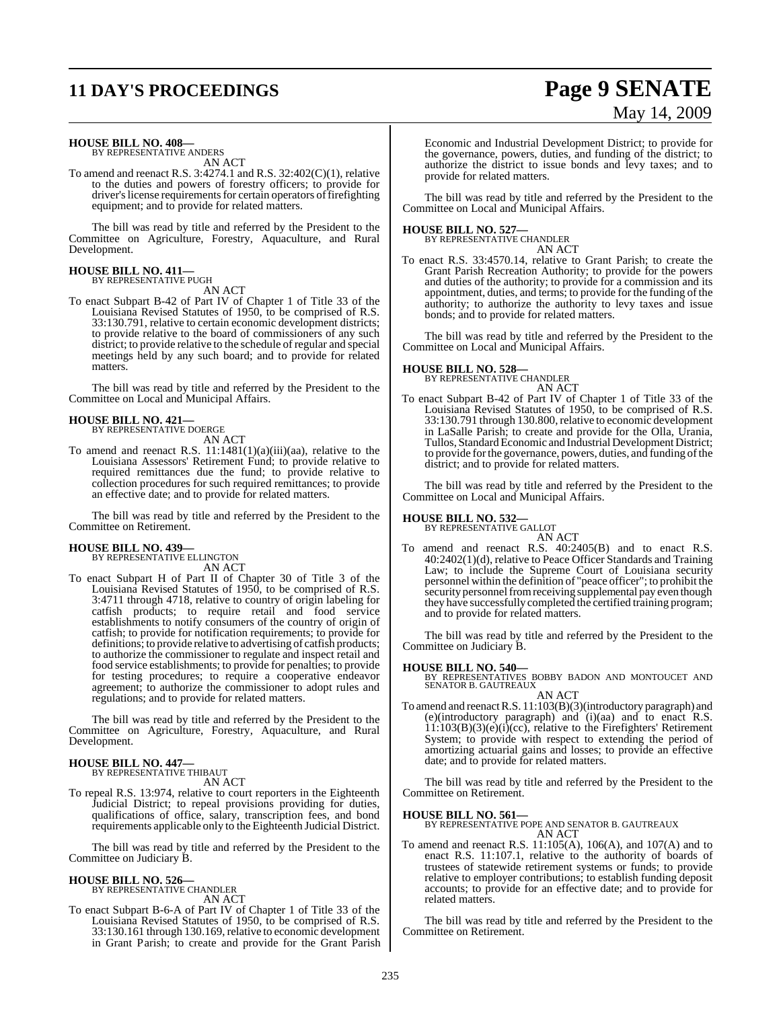## **11 DAY'S PROCEEDINGS Page 9 SENATE**

# May 14, 2009

#### **HOUSE BILL NO. 408—**

BY REPRESENTATIVE ANDERS AN ACT

To amend and reenact R.S. 3:4274.1 and R.S. 32:402(C)(1), relative to the duties and powers of forestry officers; to provide for driver's license requirements for certain operators of firefighting equipment; and to provide for related matters.

The bill was read by title and referred by the President to the Committee on Agriculture, Forestry, Aquaculture, and Rural Development.

### **HOUSE BILL NO. 411—**

BY REPRESENTATIVE PUGH AN ACT

To enact Subpart B-42 of Part IV of Chapter 1 of Title 33 of the Louisiana Revised Statutes of 1950, to be comprised of R.S. 33:130.791, relative to certain economic development districts; to provide relative to the board of commissioners of any such district; to provide relative to the schedule of regular and special meetings held by any such board; and to provide for related matters.

The bill was read by title and referred by the President to the Committee on Local and Municipal Affairs.

## **HOUSE BILL NO. 421—** BY REPRESENTATIVE DOERGE

AN ACT

To amend and reenact R.S.  $11:1481(1)(a)(iii)(aa)$ , relative to the Louisiana Assessors' Retirement Fund; to provide relative to required remittances due the fund; to provide relative to collection procedures for such required remittances; to provide an effective date; and to provide for related matters.

The bill was read by title and referred by the President to the Committee on Retirement.

#### **HOUSE BILL NO. 439—**

BY REPRESENTATIVE ELLINGTON AN ACT

To enact Subpart H of Part II of Chapter 30 of Title 3 of the Louisiana Revised Statutes of 1950, to be comprised of R.S. 3:4711 through 4718, relative to country of origin labeling for catfish products; to require retail and food service establishments to notify consumers of the country of origin of catfish; to provide for notification requirements; to provide for definitions; to provide relative to advertising of catfish products; to authorize the commissioner to regulate and inspect retail and food service establishments; to provide for penalties; to provide for testing procedures; to require a cooperative endeavor agreement; to authorize the commissioner to adopt rules and regulations; and to provide for related matters.

The bill was read by title and referred by the President to the Committee on Agriculture, Forestry, Aquaculture, and Rural Development.

#### **HOUSE BILL NO. 447—** BY REPRESENTATIVE THIBAUT

AN ACT

To repeal R.S. 13:974, relative to court reporters in the Eighteenth Judicial District; to repeal provisions providing for duties, qualifications of office, salary, transcription fees, and bond requirements applicable only to the Eighteenth Judicial District.

The bill was read by title and referred by the President to the Committee on Judiciary B.

## **HOUSE BILL NO. 526—** BY REPRESENTATIVE CHANDLER

AN ACT

To enact Subpart B-6-A of Part IV of Chapter 1 of Title 33 of the Louisiana Revised Statutes of 1950, to be comprised of R.S. 33:130.161 through 130.169, relative to economic development in Grant Parish; to create and provide for the Grant Parish Economic and Industrial Development District; to provide for the governance, powers, duties, and funding of the district; to authorize the district to issue bonds and levy taxes; and to provide for related matters.

The bill was read by title and referred by the President to the Committee on Local and Municipal Affairs.

**HOUSE BILL NO. 527—** BY REPRESENTATIVE CHANDLER AN ACT

To enact R.S. 33:4570.14, relative to Grant Parish; to create the Grant Parish Recreation Authority; to provide for the powers and duties of the authority; to provide for a commission and its appointment, duties, and terms; to provide for the funding of the authority; to authorize the authority to levy taxes and issue bonds; and to provide for related matters.

The bill was read by title and referred by the President to the Committee on Local and Municipal Affairs.

### **HOUSE BILL NO. 528—** BY REPRESENTATIVE CHANDLER

AN ACT

To enact Subpart B-42 of Part IV of Chapter 1 of Title 33 of the Louisiana Revised Statutes of 1950, to be comprised of R.S. 33:130.791 through 130.800,relative to economic development in LaSalle Parish; to create and provide for the Olla, Urania, Tullos, Standard Economic and Industrial Development District; to provide for the governance, powers, duties, and funding of the district; and to provide for related matters.

The bill was read by title and referred by the President to the Committee on Local and Municipal Affairs.

## **HOUSE BILL NO. 532—** BY REPRESENTATIVE GALLOT

AN ACT To amend and reenact R.S. 40:2405(B) and to enact R.S. 40:2402(1)(d), relative to Peace Officer Standards and Training Law; to include the Supreme Court of Louisiana security personnel within the definition of "peace officer"; to prohibit the security personnel from receiving supplemental pay even though they have successfully completed the certified training program; and to provide for related matters.

The bill was read by title and referred by the President to the Committee on Judiciary B.

### **HOUSE BILL NO. 540—**

BY REPRESENTATIVES BOBBY BADON AND MONTOUCET AND SENATOR B. GAUTREAUX AN ACT

To amend and reenact R.S. 11:103(B)(3)(introductory paragraph) and (e)(introductory paragraph) and (i)(aa) and to enact R.S. 11:103(B)(3)(e)(i)(cc), relative to the Firefighters' Retirement System; to provide with respect to extending the period of amortizing actuarial gains and losses; to provide an effective date; and to provide for related matters.

The bill was read by title and referred by the President to the Committee on Retirement.

**HOUSE BILL NO. 561—** BY REPRESENTATIVE POPE AND SENATOR B. GAUTREAUX AN ACT

To amend and reenact R.S. 11:105(A), 106(A), and 107(A) and to enact R.S. 11:107.1, relative to the authority of boards of trustees of statewide retirement systems or funds; to provide relative to employer contributions; to establish funding deposit accounts; to provide for an effective date; and to provide for related matters.

The bill was read by title and referred by the President to the Committee on Retirement.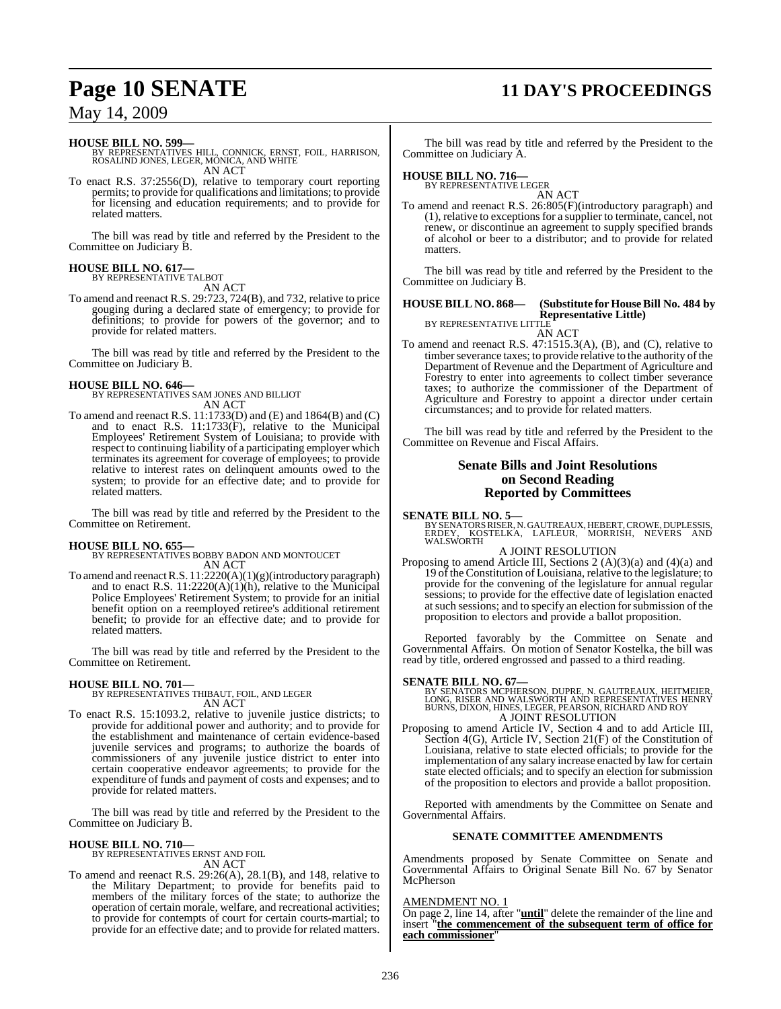## **Page 10 SENATE 11 DAY'S PROCEEDINGS**

### May 14, 2009

#### **HOUSE BILL NO. 599—**

BY REPRESENTATIVES HILL, CONNICK, ERNST, FOIL, HARRISON, ROSALIND JONES, LEGER, MONICA, AND WHITE AN ACT

To enact R.S. 37:2556(D), relative to temporary court reporting permits; to provide for qualifications and limitations; to provide for licensing and education requirements; and to provide for related matters.

The bill was read by title and referred by the President to the Committee on Judiciary B.

#### **HOUSE BILL NO. 617—** BY REPRESENTATIVE TALBOT

AN ACT

To amend and reenact R.S. 29:723, 724(B), and 732, relative to price gouging during a declared state of emergency; to provide for definitions; to provide for powers of the governor; and to provide for related matters.

The bill was read by title and referred by the President to the Committee on Judiciary B.

**HOUSE BILL NO. 646—** BY REPRESENTATIVES SAM JONES AND BILLIOT AN ACT

To amend and reenact R.S. 11:1733(D) and (E) and 1864(B) and (C) and to enact R.S. 11:1733(F), relative to the Municipal Employees' Retirement System of Louisiana; to provide with respect to continuing liability of a participating employer which terminates its agreement for coverage of employees; to provide relative to interest rates on delinquent amounts owed to the system; to provide for an effective date; and to provide for related matters.

The bill was read by title and referred by the President to the Committee on Retirement.

**HOUSE BILL NO. 655—** BY REPRESENTATIVES BOBBY BADON AND MONTOUCET AN ACT

To amend and reenact R.S. 11:2220(A)(1)(g)(introductory paragraph) and to enact R.S.  $11:2220(A)(1)(h)$ , relative to the Municipal Police Employees' Retirement System; to provide for an initial benefit option on a reemployed retiree's additional retirement benefit; to provide for an effective date; and to provide for related matters.

The bill was read by title and referred by the President to the Committee on Retirement.

#### **HOUSE BILL NO. 701—**

BY REPRESENTATIVES THIBAUT, FOIL, AND LEGER AN ACT

To enact R.S. 15:1093.2, relative to juvenile justice districts; to provide for additional power and authority; and to provide for the establishment and maintenance of certain evidence-based juvenile services and programs; to authorize the boards of commissioners of any juvenile justice district to enter into certain cooperative endeavor agreements; to provide for the expenditure of funds and payment of costs and expenses; and to provide for related matters.

The bill was read by title and referred by the President to the Committee on Judiciary B.

#### **HOUSE BILL NO. 710—**

BY REPRESENTATIVES ERNST AND FOIL AN ACT

To amend and reenact R.S. 29:26(A), 28.1(B), and 148, relative to the Military Department; to provide for benefits paid to members of the military forces of the state; to authorize the operation of certain morale, welfare, and recreational activities; to provide for contempts of court for certain courts-martial; to provide for an effective date; and to provide for related matters.

The bill was read by title and referred by the President to the Committee on Judiciary A.

### **HOUSE BILL NO. 716—** BY REPRESENTATIVE LEGER

AN ACT

To amend and reenact R.S. 26:805(F)(introductory paragraph) and (1), relative to exceptionsfor a supplier to terminate, cancel, not renew, or discontinue an agreement to supply specified brands of alcohol or beer to a distributor; and to provide for related matters.

The bill was read by title and referred by the President to the Committee on Judiciary B.

#### **HOUSE BILL NO. 868— (Substitute for HouseBill No. 484 by Representative Little)** BY REPRESENTATIVE LITTLE

AN ACT

To amend and reenact R.S. 47:1515.3(A), (B), and (C), relative to timber severance taxes; to provide relative to the authority of the Department of Revenue and the Department of Agriculture and Forestry to enter into agreements to collect timber severance taxes; to authorize the commissioner of the Department of Agriculture and Forestry to appoint a director under certain circumstances; and to provide for related matters.

The bill was read by title and referred by the President to the Committee on Revenue and Fiscal Affairs.

### **Senate Bills and Joint Resolutions on Second Reading Reported by Committees**

**SENATE BILL NO. 5—**<br>BY SENATORS RISER, N. GAUTREAUX, HEBERT, CROWE, DUPLESSIS,<br>ERDEY, KOSTELKA, LAFLEUR, MORRISH, NEVERS AND<br>WALSWORTH

#### A JOINT RESOLUTION

Proposing to amend Article III, Sections 2 (A)(3)(a) and (4)(a) and 19 of the Constitution of Louisiana, relative to the legislature; to provide for the convening of the legislature for annual regular sessions; to provide for the effective date of legislation enacted atsuch sessions; and to specify an election forsubmission of the proposition to electors and provide a ballot proposition.

Reported favorably by the Committee on Senate and Governmental Affairs. On motion of Senator Kostelka, the bill was read by title, ordered engrossed and passed to a third reading.

#### **SENATE BILL NO. 67—**

BY SENATORS MCPHERSON, DUPRE, N. GAUTREAUX, HEITMEIER,<br>LONG, RISER AND WALSWORTH AND REPRESENTATIVES HENRY<br>BURNS, DIXON, HINES, LEGER, PEARSON, RICHARD AND ROY<br>A JOINT RESOLUTION

Proposing to amend Article IV, Section 4 and to add Article III, Section 4(G), Article IV, Section 21(F) of the Constitution of Louisiana, relative to state elected officials; to provide for the implementation of any salary increase enacted by law for certain state elected officials; and to specify an election for submission of the proposition to electors and provide a ballot proposition.

Reported with amendments by the Committee on Senate and Governmental Affairs.

#### **SENATE COMMITTEE AMENDMENTS**

Amendments proposed by Senate Committee on Senate and Governmental Affairs to Original Senate Bill No. 67 by Senator McPherson

#### AMENDMENT NO. 1

On page 2, line 14, after "**until**" delete the remainder of the line and insert "**the commencement of the subsequent term of office for each commissioner**"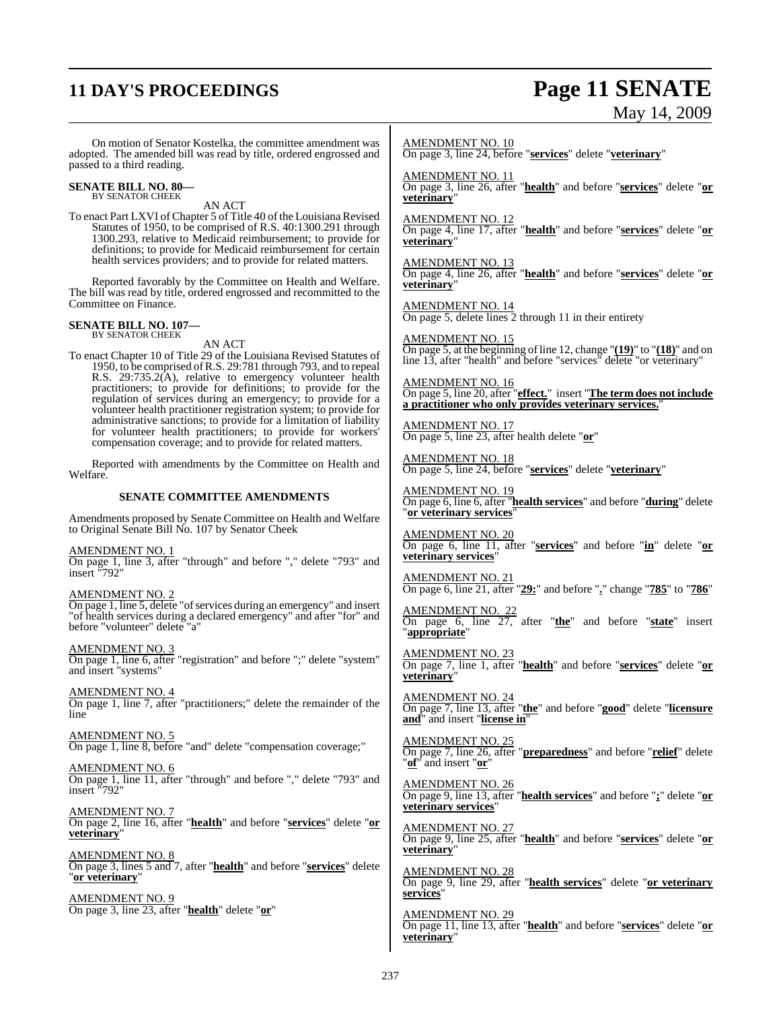## **11 DAY'S PROCEEDINGS Page 11 SENATE**

# May 14, 2009

On motion of Senator Kostelka, the committee amendment was adopted. The amended bill was read by title, ordered engrossed and passed to a third reading.

### **SENATE BILL NO. 80—** BY SENATOR CHEEK

AN ACT

To enact Part LXVI of Chapter 5 of Title 40 of the Louisiana Revised Statutes of 1950, to be comprised of R.S. 40:1300.291 through 1300.293, relative to Medicaid reimbursement; to provide for definitions; to provide for Medicaid reimbursement for certain health services providers; and to provide for related matters.

Reported favorably by the Committee on Health and Welfare. The bill was read by title, ordered engrossed and recommitted to the Committee on Finance.

### **SENATE BILL NO. 107—** BY SENATOR CHEEK

AN ACT

To enact Chapter 10 of Title 29 of the Louisiana Revised Statutes of 1950, to be comprised ofR.S. 29:781 through 793, and to repeal R.S. 29:735.2(A), relative to emergency volunteer health practitioners; to provide for definitions; to provide for the regulation of services during an emergency; to provide for a volunteer health practitioner registration system; to provide for administrative sanctions; to provide for a limitation of liability for volunteer health practitioners; to provide for workers' compensation coverage; and to provide for related matters.

Reported with amendments by the Committee on Health and Welfare.

#### **SENATE COMMITTEE AMENDMENTS**

Amendments proposed by Senate Committee on Health and Welfare to Original Senate Bill No. 107 by Senator Cheek

AMENDMENT NO. 1 On page 1, line 3, after "through" and before "," delete "793" and insert "792"

AMENDMENT NO. 2 On page 1, line 5, delete "of services during an emergency" and insert "of health services during a declared emergency" and after "for" and before "volunteer" delete "a"

AMENDMENT NO. 3 On page 1, line 6, after "registration" and before ";" delete "system" and insert "systems"

AMENDMENT NO. 4 On page 1, line 7, after "practitioners;" delete the remainder of the line

AMENDMENT NO. 5 On page 1, line 8, before "and" delete "compensation coverage;"

AMENDMENT NO. 6 On page 1, line 11, after "through" and before "," delete "793" and insert "792"

AMENDMENT NO. 7 On page 2, line 16, after "**health**" and before "**services**" delete "**or veterinary**"

AMENDMENT NO. 8 On page 3, lines 5 and 7, after "**health**" and before "**services**" delete "**or veterinary**"

AMENDMENT NO. 9 On page 3, line 23, after "**health**" delete "**or**" AMENDMENT NO. 10

On page 3, line 24, before "**services**" delete "**veterinary**"

AMENDMENT NO. 11 On page 3, line 26, after "**health**" and before "**services**" delete "**or veterinary**"

AMENDMENT NO. 12

On page 4, line 17, after "**health**" and before "**services**" delete "**or veterinary**"

AMENDMENT NO. 13 On page 4, line 26, after "**health**" and before "**services**" delete "**or veterinary**"

AMENDMENT NO. 14 On page 5, delete lines 2 through 11 in their entirety

AMENDMENT NO. 15 On page 5, at the beginning ofline 12, change "**(19)**" to "**(18)**" and on line 13, after "health" and before "services" delete "or veterinary"

AMENDMENT NO. 16 On page 5, line 20, after "**effect.**" insert "**The term does not include a practitioner who only provides veterinary services.**"

AMENDMENT NO. 17 On page 5, line 23, after health delete "**or**"

AMENDMENT NO. 18 On page 5, line 24, before "**services**" delete "**veterinary**"

AMENDMENT NO. 19 On page 6, line 6, after "**health services**" and before "**during**" delete "**or veterinary services**"

AMENDMENT NO. 20 On page 6, line 11, after "**services**" and before "**in**" delete "**or veterinary services**"

AMENDMENT NO. 21 On page 6, line 21, after "**29:**" and before "**.**" change "**785**" to "**786**"

AMENDMENT NO. 22 On page 6, line 27, after "**the**" and before "**state**" insert "**appropriate**"

AMENDMENT NO. 23 On page 7, line 1, after "**health**" and before "**services**" delete "**or veterinary**"

AMENDMENT NO. 24 On page 7, line 13, after "**the**" and before "**good**" delete "**licensure and**" and insert "**license in**"

AMENDMENT NO. 25 On page 7, line 26, after "**preparedness**" and before "**relief**" delete "**of**" and insert "**or**"

AMENDMENT NO. 26 On page 9, line 13, after "**health services**" and before "**;**" delete "**or veterinary services**"

AMENDMENT NO. 27 On page 9, line 25, after "**health**" and before "**services**" delete "**or veterinary**"

AMENDMENT NO. 28 On page 9, line 29, after "**health services**" delete "**or veterinary services**"

AMENDMENT NO. 29 On page 11, line 13, after "**health**" and before "**services**" delete "**or veterinary**"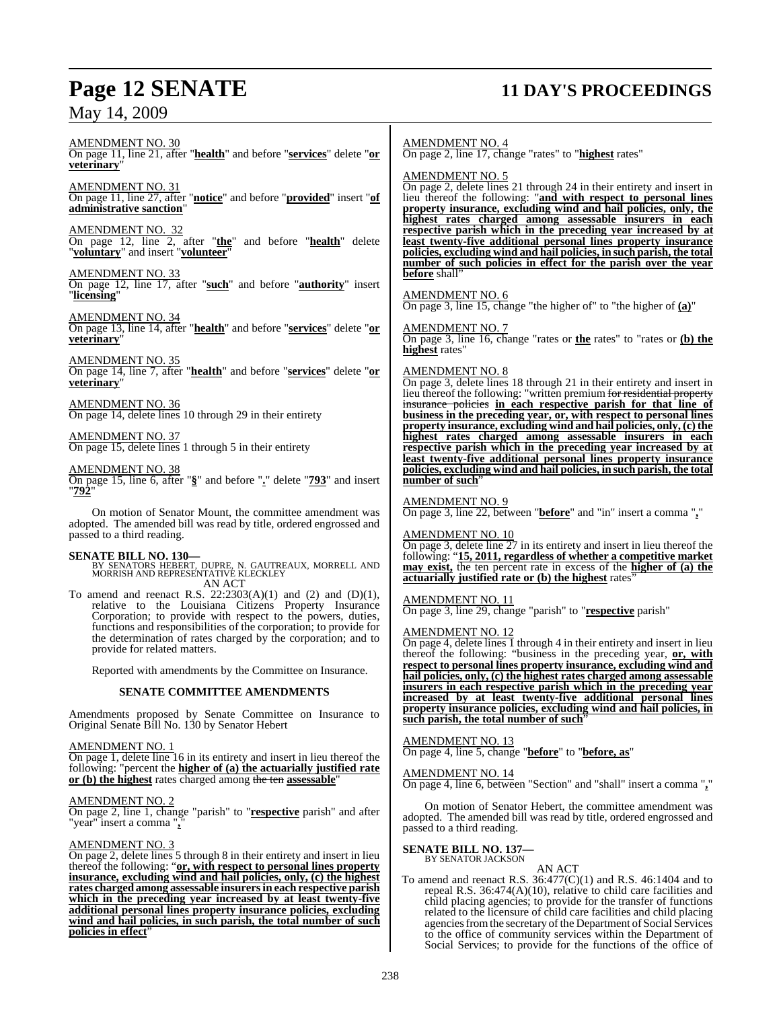### May 14, 2009

## **Page 12 SENATE 11 DAY'S PROCEEDINGS**

AMENDMENT NO. 30 On page 11, line 21, after "**health**" and before "**services**" delete "**or veterinary**"

AMENDMENT NO. 31 On page 11, line 27, after "**notice**" and before "**provided**" insert "**of administrative sanction**"

AMENDMENT NO. 32 On page 12, line 2, after "**the**" and before "**health**" delete "**voluntary**" and insert "**volunteer**"

#### AMENDMENT NO. 33

On page 12, line 17, after "**such**" and before "**authority**" insert "**licensing**"

AMENDMENT NO. 34 On page 13, line 14, after "**health**" and before "**services**" delete "**or veterinary**"

AMENDMENT NO. 35 On page 14, line 7, after "**health**" and before "**services**" delete "**or veterinary**"

AMENDMENT NO. 36 On page 14, delete lines 10 through 29 in their entirety

AMENDMENT NO. 37 On page 15, delete lines 1 through 5 in their entirety

#### AMENDMENT NO. 38

On page 15, line 6, after "**§**" and before "**.**" delete "**793**" and insert "**792**"

On motion of Senator Mount, the committee amendment was adopted. The amended bill was read by title, ordered engrossed and passed to a third reading.

**SENATE BILL NO. 130—** BY SENATORS HEBERT, DUPRE, N. GAUTREAUX, MORRELL AND MORRISH AND REPRESENTATIVE KLECKLEY AN ACT

To amend and reenact R.S.  $22:2303(A)(1)$  and  $(2)$  and  $(D)(1)$ , relative to the Louisiana Citizens Property Insurance Corporation; to provide with respect to the powers, duties, functions and responsibilities of the corporation; to provide for the determination of rates charged by the corporation; and to provide for related matters.

Reported with amendments by the Committee on Insurance.

#### **SENATE COMMITTEE AMENDMENTS**

Amendments proposed by Senate Committee on Insurance to Original Senate Bill No. 130 by Senator Hebert

#### AMENDMENT NO. 1

On page 1, delete line 16 in its entirety and insert in lieu thereof the following: "percent the **higher of (a) the actuarially justified rate or (b) the highest** rates charged among the ten **assessable**"

#### AMENDMENT NO. 2

On page 2, line 1, change "parish" to "**respective** parish" and after "year" insert a comma "**,**"

#### AMENDMENT NO. 3

On page 2, delete lines 5 through 8 in their entirety and insert in lieu thereof the following: "**or, with respect to personal lines property insurance, excluding wind and hail policies, only, (c) the highest rates charged among assessable insurersin each respective parish which in the preceding year increased by at least twenty-five additional personal lines property insurance policies, excluding wind and hail policies, in such parish, the total number of such policies in effect**"

AMENDMENT NO. 4 On page 2, line 17, change "rates" to "**highest** rates"

#### AMENDMENT NO. 5

On page 2, delete lines 21 through 24 in their entirety and insert in lieu thereof the following: "**and with respect to personal lines property insurance, excluding wind and hail policies, only, the highest rates charged among assessable insurers in each respective parish which in the preceding year increased by at least twenty-five additional personal lines property insurance policies, excluding wind and hail policies, in such parish, the total number of such policies in effect for the parish over the year before** shall

#### AMENDMENT NO. 6

On page 3, line 15, change "the higher of" to "the higher of **(a)**"

AMENDMENT NO. 7 On page 3, line 16, change "rates or **the** rates" to "rates or **(b) the highest** rates"

### AMENDMENT NO. 8

On page 3, delete lines 18 through 21 in their entirety and insert in lieu thereof the following: "written premium <del>for residential property</del><br>insurance, policies in each respective parish for that line of insurance policies **in each respective parish for that line of business in the preceding year, or, with respect to personal lines property insurance, excluding wind and hail policies, only, (c) the highest rates charged among assessable insurers in each respective parish which in the preceding year increased by at least twenty-five additional personal lines property insurance policies, excluding wind and hail policies, in such parish, the total number of such**"

#### AMENDMENT NO. 9

On page 3, line 22, between "**before**" and "in" insert a comma "**,**"

#### AMENDMENT NO. 10

On page 3, delete line 27 in its entirety and insert in lieu thereof the following: "**15, 2011, regardless of whether a competitive market may exist,** the ten percent rate in excess of the **higher of (a) the actuarially justified rate or (b) the highest** rates

#### AMENDMENT NO. 11

On page 3, line 29, change "parish" to "**respective** parish"

#### AMENDMENT NO. 12

On page 4, delete lines 1 through 4 in their entirety and insert in lieu thereof the following: "business in the preceding year, **or, with respect to personal lines property insurance, excluding wind and hail policies, only, (c) the highest rates charged among assessable insurers in each respective parish which in the preceding year increased by at least twenty-five additional personal lines property insurance policies, excluding wind and hail policies, in such parish, the total number of such**"

AMENDMENT NO. 13 On page 4, line 5, change "**before**" to "**before, as**"

AMENDMENT NO. 14

On page 4, line 6, between "Section" and "shall" insert a comma "**,**"

On motion of Senator Hebert, the committee amendment was adopted. The amended bill was read by title, ordered engrossed and passed to a third reading.

#### **SENATE BILL NO. 137—**

BY SENATOR JACKSON

AN ACT

To amend and reenact R.S. 36:477(C)(1) and R.S. 46:1404 and to repeal R.S. 36:474(A)(10), relative to child care facilities and child placing agencies; to provide for the transfer of functions related to the licensure of child care facilities and child placing agencies from the secretary of the Department of Social Services to the office of community services within the Department of Social Services; to provide for the functions of the office of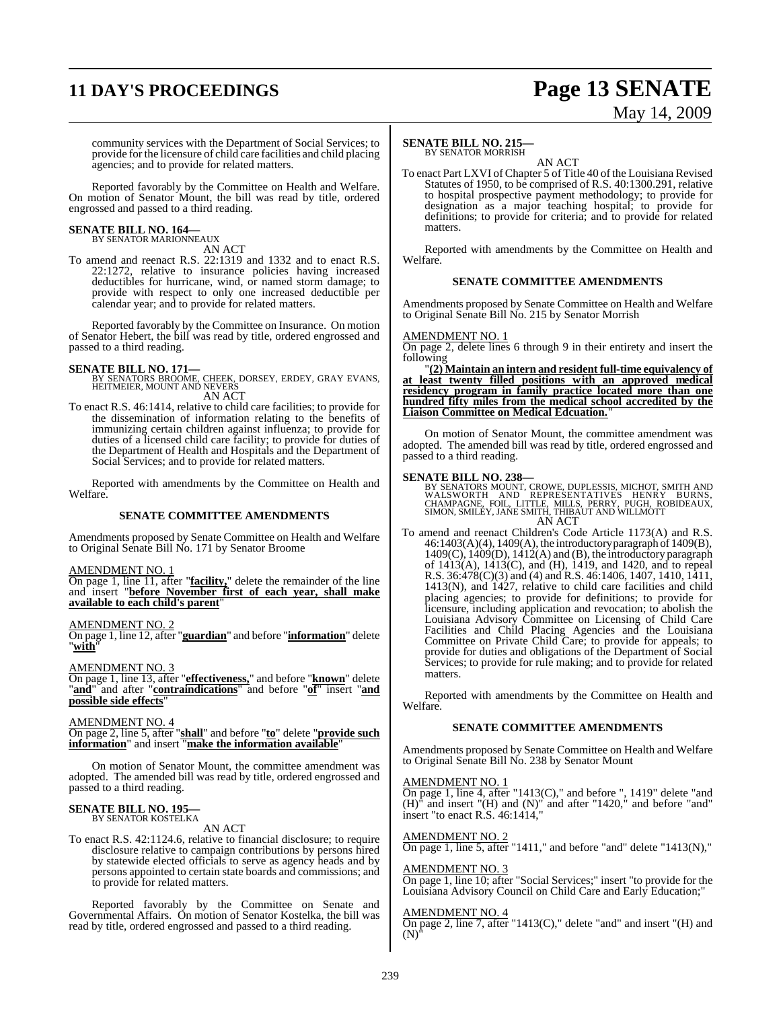## **11 DAY'S PROCEEDINGS Page 13 SENATE**

# May 14, 2009

community services with the Department of Social Services; to provide for the licensure of child care facilities and child placing agencies; and to provide for related matters.

Reported favorably by the Committee on Health and Welfare. On motion of Senator Mount, the bill was read by title, ordered engrossed and passed to a third reading.

## **SENATE BILL NO. 164—** BY SENATOR MARIONNEAUX

AN ACT

To amend and reenact R.S. 22:1319 and 1332 and to enact R.S. 22:1272, relative to insurance policies having increased deductibles for hurricane, wind, or named storm damage; to provide with respect to only one increased deductible per calendar year; and to provide for related matters.

Reported favorably by the Committee on Insurance. On motion of Senator Hebert, the bill was read by title, ordered engrossed and passed to a third reading.

**SENATE BILL NO. 171—**<br>BY SENATORS BROOME, CHEEK, DORSEY, ERDEY, GRAY EVANS,<br>HEITMEIER, MOUNT AND NEVERS AN ACT

To enact R.S. 46:1414, relative to child care facilities; to provide for the dissemination of information relating to the benefits of immunizing certain children against influenza; to provide for duties of a licensed child care facility; to provide for duties of the Department of Health and Hospitals and the Department of Social Services; and to provide for related matters.

Reported with amendments by the Committee on Health and Welfare.

#### **SENATE COMMITTEE AMENDMENTS**

Amendments proposed by Senate Committee on Health and Welfare to Original Senate Bill No. 171 by Senator Broome

#### AMENDMENT NO. 1

On page 1, line 11, after "**facility,**" delete the remainder of the line and insert "**before November first of each year, shall make available to each child's parent**"

#### AMENDMENT NO. 2

On page 1, line 12, after "**guardian**" and before "**information**" delete "**with**"

#### AMENDMENT NO. 3

On page 1, line 13, after "**effectiveness,**" and before "**known**" delete "**and**" and after "**contraindications**" and before "**of**" insert "**and possible side effects**"

#### AMENDMENT NO. 4

On page 2, line 5, after "**shall**" and before "**to**" delete "**provide such information**" and insert "**make the information available**"

On motion of Senator Mount, the committee amendment was adopted. The amended bill was read by title, ordered engrossed and passed to a third reading.

### **SENATE BILL NO. 195—** BY SENATOR KOSTELKA

AN ACT

To enact R.S. 42:1124.6, relative to financial disclosure; to require disclosure relative to campaign contributions by persons hired by statewide elected officials to serve as agency heads and by persons appointed to certain state boards and commissions; and to provide for related matters.

Reported favorably by the Committee on Senate and Governmental Affairs. On motion of Senator Kostelka, the bill was read by title, ordered engrossed and passed to a third reading.

### **SENATE BILL NO. 215—**

BY SENATOR MORRISH AN ACT

To enact Part LXVI of Chapter 5 of Title 40 of the Louisiana Revised Statutes of 1950, to be comprised of R.S. 40:1300.291, relative to hospital prospective payment methodology; to provide for designation as a major teaching hospital; to provide for definitions; to provide for criteria; and to provide for related matters.

Reported with amendments by the Committee on Health and Welfare.

#### **SENATE COMMITTEE AMENDMENTS**

Amendments proposed by Senate Committee on Health and Welfare to Original Senate Bill No. 215 by Senator Morrish

#### AMENDMENT NO. 1

On page 2, delete lines 6 through 9 in their entirety and insert the following

"**(2) Maintain an intern and resident full-time equivalency of at least twenty filled positions with an approved medical residency program in family practice located more than one hundred fifty miles from the medical school accredited by the Liaison Committee on Medical Edcuation.**"

On motion of Senator Mount, the committee amendment was adopted. The amended bill was read by title, ordered engrossed and passed to a third reading.

**SENATE BILL NO. 238—**<br>BY SENATORS MOUNT, CROWE, DUPLESSIS, MICHOT, SMITH AND WALSWORTH AND REPRESENTATIVES HENRY BURNS,<br>CHAMPAGNE, FOIL, LITTLE, MILLS, PERRY, PUGH, ROBIDEAUX,<br>SIMON, SMILEY, JANE SMITH, THIBAUT AND WILLMO AN ACT

To amend and reenact Children's Code Article 1173(A) and R.S. 46:1403(A)(4), 1409(A), the introductory paragraph of 1409(B),  $1409(C)$ ,  $1409(D)$ ,  $1412(A)$  and (B), the introductory paragraph of 1413(A), 1413(C), and (H), 1419, and 1420, and to repeal R.S. 36:478(C)(3) and (4) and R.S. 46:1406, 1407, 1410, 1411, 1413(N), and 1427, relative to child care facilities and child placing agencies; to provide for definitions; to provide for licensure, including application and revocation; to abolish the Louisiana Advisory Committee on Licensing of Child Care Facilities and Child Placing Agencies and the Louisiana Committee on Private Child Care; to provide for appeals; to provide for duties and obligations of the Department of Social Services; to provide for rule making; and to provide for related matters.

Reported with amendments by the Committee on Health and Welfare.

#### **SENATE COMMITTEE AMENDMENTS**

Amendments proposed by Senate Committee on Health and Welfare to Original Senate Bill No. 238 by Senator Mount

#### AMENDMENT NO. 1

On page 1, line 4, after "1413(C)," and before ", 1419" delete "and  $(H)$ <sup> $\dagger$ </sup> and insert "(H) and  $(N)$ " and after "1420," and before "and" insert "to enact R.S. 46:1414,"

#### AMENDMENT NO. 2

On page 1, line 5, after "1411," and before "and" delete "1413(N),"

#### AMENDMENT NO. 3

On page 1, line 10; after "Social Services;" insert "to provide for the Louisiana Advisory Council on Child Care and Early Education;"

### AMENDMENT NO. 4

On page 2, line 7, after "1413(C)," delete "and" and insert "(H) and  $(N)$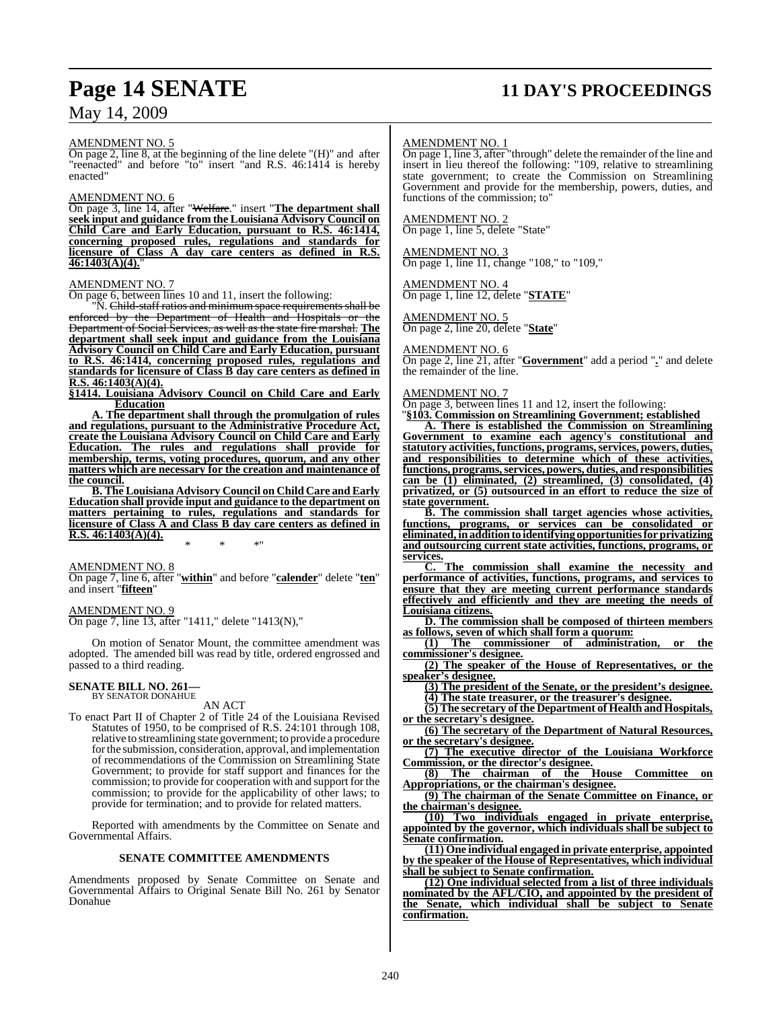### May 14, 2009

## **Page 14 SENATE 11 DAY'S PROCEEDINGS**

AMENDMENT NO. 5

On page 2, line 8, at the beginning of the line delete "(H)" and after "reenacted" and before "to" insert "and R.S. 46:1414 is hereby enacted"

#### AMENDMENT NO. 6

On page 3, line 14, after "Welfare." insert "**The department shall seek input and guidance from the Louisiana Advisory Council on Child Care and Early Education, pursuant to R.S. 46:1414, concerning proposed rules, regulations and standards for licensure of Class A day care centers as defined in R.S. 46:1403(A)(4).**"

#### AMENDMENT NO. 7

On page 6, between lines 10 and 11, insert the following:

"N. Child-staff ratios and minimum space requirements shall be enforced by the Department of Health and Hospitals or the Department of Social Services, as well as the state fire marshal. **The department shall seek input and guidance from the Louisiana Advisory Council on Child Care and Early Education, pursuant to R.S. 46:1414, concerning proposed rules, regulations and standards for licensure of Class B day care centers as defined in R.S. 46:1403(A)(4).**

**§1414. Louisiana Advisory Council on Child Care and Early Education**

**A. The department shall through the promulgation of rules and regulations, pursuant to the Administrative Procedure Act, create the Louisiana Advisory Council on Child Care and Early Education. The rules and regulations shall provide for membership, terms, voting procedures, quorum, and any other matters which are necessary for the creation and maintenance of the council.**

**B. The Louisiana Advisory Council on Child Care and Early Education shall provide input and guidance to the department on matters pertaining to rules, regulations and standards for licensure of Class A and Class B day care centers as defined in R.S. 46:1403(A)(4).**

AMENDMENT NO. 8 On page 7, line 6, after "**within**" and before "**calender**" delete "**ten**" and insert "**fifteen**"

\* \* \*"

AMENDMENT NO. 9 On page 7, line 13, after "1411," delete "1413(N),"

On motion of Senator Mount, the committee amendment was adopted. The amended bill was read by title, ordered engrossed and passed to a third reading.

## **SENATE BILL NO. 261—** BY SENATOR DONAHUE

AN ACT

To enact Part II of Chapter 2 of Title 24 of the Louisiana Revised Statutes of 1950, to be comprised of R.S. 24:101 through 108, relative to streamlining state government; to provide a procedure forthe submission, consideration, approval, and implementation of recommendations of the Commission on Streamlining State Government; to provide for staff support and finances for the commission; to provide for cooperation with and support for the commission; to provide for the applicability of other laws; to provide for termination; and to provide for related matters.

Reported with amendments by the Committee on Senate and Governmental Affairs.

#### **SENATE COMMITTEE AMENDMENTS**

Amendments proposed by Senate Committee on Senate and Governmental Affairs to Original Senate Bill No. 261 by Senator Donahue

#### AMENDMENT NO. 1

On page 1, line 3, after "through" delete the remainder of the line and insert in lieu thereof the following: "109, relative to streamlining state government; to create the Commission on Streamlining Government and provide for the membership, powers, duties, and functions of the commission; to"

#### AMENDMENT NO. 2

On page 1, line 5, delete "State"

#### AMENDMENT NO. 3

On page 1, line 11, change "108," to "109,"

#### AMENDMENT NO. 4

On page 1, line 12, delete "**STATE**"

#### AMENDMENT NO. 5

On page 2, line 20, delete "**State**"

#### AMENDMENT NO. 6

On page 2, line 21, after "**Government**" add a period "**.**" and delete the remainder of the line.

#### AMENDMENT NO. 7

On page 3, between lines 11 and 12, insert the following:

"**§103. Commission on Streamlining Government; established A. There is established the Commission on Streamlining Government to examine each agency's constitutional and statutory activities,functions, programs,services, powers, duties, and responsibilities to determine which of these activities, functions, programs,services, powers, duties, andresponsibilities can be (1) eliminated, (2) streamlined, (3) consolidated, (4) privatized, or (5) outsourced in an effort to reduce the size of state government.**

**B. The commission shall target agencies whose activities, functions, programs, or services can be consolidated or eliminated, inadditionto identifying opportunities for privatizing and outsourcing current state activities, functions, programs, or services.**

**C. The commission shall examine the necessity and performance of activities, functions, programs, and services to ensure that they are meeting current performance standards effectively and efficiently and they are meeting the needs of Louisiana citizens.**

**D. The commission shall be composed of thirteen members as follows, seven of which shall form a quorum:**

**(1) The commissioner of administration, or the commissioner's designee.**

**(2) The speaker of the House of Representatives, or the speaker's designee.**

**(3) The president of the Senate, or the president's designee.**

**(4) The state treasurer, or the treasurer's designee.**

**(5) The secretary of the Department of Health and Hospitals, or the secretary's designee.**

**(6) The secretary of the Department of Natural Resources, or the secretary's designee.**

**(7) The executive director of the Louisiana Workforce Commission, or the director's designee.**

**(8) The chairman of the House Committee on Appropriations, or the chairman's designee.**

**(9) The chairman of the Senate Committee on Finance, or the chairman's designee.**

**(10) Two individuals engaged in private enterprise, appointed by the governor, which individuals shall be subject to Senate confirmation.**

**(11) One individual engaged in private enterprise, appointed by the speaker of the House of Representatives, which individual shall be subject to Senate confirmation.**

**(12) One individual selected from a list of three individuals nominated by the AFL/CIO, and appointed by the president of the Senate, which individual shall be subject to Senate confirmation.**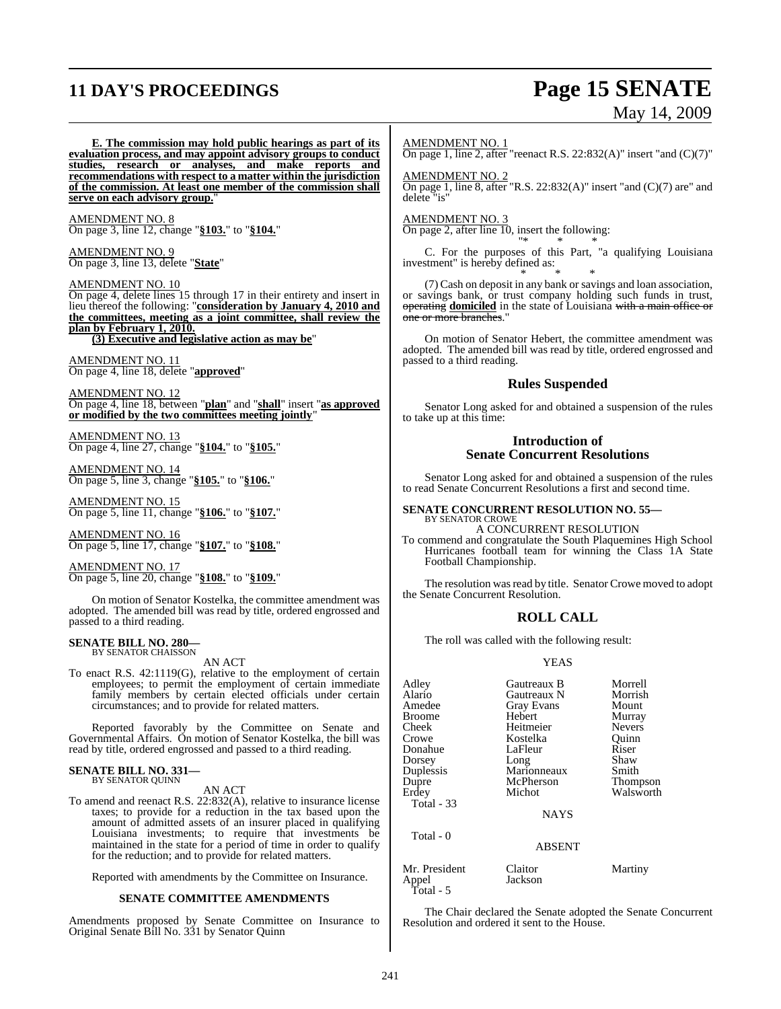## **11 DAY'S PROCEEDINGS Page 15 SENATE** May 14, 2009

**E. The commission may hold public hearings as part of its evaluation process, and may appoint advisory groups to conduct studies, research or analyses, and make reports and recommendations with respect to a matter within the jurisdiction of the commission. At least one member of the commission shall serve on each advisory group.**"

AMENDMENT NO. 8 On page 3, line 12, change "**§103.**" to "**§104.**"

AMENDMENT NO. 9 On page 3, line 13, delete "**State**"

AMENDMENT NO. 10 On page 4, delete lines 15 through 17 in their entirety and insert in lieu thereof the following: "**consideration by January 4, 2010 and the committees, meeting as a joint committee, shall review the plan by February 1, 2010. (3) Executive and legislative action as may be**"

AMENDMENT NO. 11

On page 4, line 18, delete "**approved**"

AMENDMENT NO. 12 On page 4, line 18, between "**plan**" and "**shall**" insert "**as approved or modified by the two committees meeting jointly**"

AMENDMENT NO. 13 On page 4, line 27, change "**§104.**" to "**§105.**"

AMENDMENT NO. 14 On page 5, line 3, change "**§105.**" to "**§106.**"

AMENDMENT NO. 15 On page 5, line 11, change "**§106.**" to "**§107.**"

AMENDMENT NO. 16 On page 5, line 17, change "**§107.**" to "**§108.**"

AMENDMENT NO. 17 On page 5, line 20, change "**§108.**" to "**§109.**"

On motion of Senator Kostelka, the committee amendment was adopted. The amended bill was read by title, ordered engrossed and passed to a third reading.

#### **SENATE BILL NO. 280—** BY SENATOR CHAISSON

AN ACT

To enact R.S. 42:1119(G), relative to the employment of certain employees; to permit the employment of certain immediate family members by certain elected officials under certain circumstances; and to provide for related matters.

Reported favorably by the Committee on Senate and Governmental Affairs. On motion of Senator Kostelka, the bill was read by title, ordered engrossed and passed to a third reading.

## **SENATE BILL NO. 331—** BY SENATOR QUINN

AN ACT

To amend and reenact R.S. 22:832(A), relative to insurance license taxes; to provide for a reduction in the tax based upon the amount of admitted assets of an insurer placed in qualifying Louisiana investments; to require that investments be maintained in the state for a period of time in order to qualify for the reduction; and to provide for related matters.

Reported with amendments by the Committee on Insurance.

#### **SENATE COMMITTEE AMENDMENTS**

Amendments proposed by Senate Committee on Insurance to Original Senate Bill No. 331 by Senator Quinn

AMENDMENT NO. 1

On page 1, line 2, after "reenact R.S. 22:832(A)" insert "and (C)(7)"

AMENDMENT NO. 2 On page 1, line 8, after "R.S. 22:832(A)" insert "and (C)(7) are" and delete "is"

AMENDMENT NO. 3 On page 2, after line 10, insert the following: "\* \* \*

C. For the purposes of this Part, "a qualifying Louisiana investment" is hereby defined as: \* \* \*

(7) Cash on deposit in any bank or savings and loan association, or savings bank, or trust company holding such funds in trust, operating **domiciled** in the state of Louisiana with a main office or one or more branches."

On motion of Senator Hebert, the committee amendment was adopted. The amended bill was read by title, ordered engrossed and passed to a third reading.

### **Rules Suspended**

Senator Long asked for and obtained a suspension of the rules to take up at this time:

### **Introduction of Senate Concurrent Resolutions**

Senator Long asked for and obtained a suspension of the rules to read Senate Concurrent Resolutions a first and second time.

#### **SENATE CONCURRENT RESOLUTION NO. 55—** BY SENATOR CROWE

A CONCURRENT RESOLUTION

To commend and congratulate the South Plaquemines High School Hurricanes football team for winning the Class 1A State Football Championship.

The resolution was read by title. Senator Crowe moved to adopt the Senate Concurrent Resolution.

### **ROLL CALL**

The roll was called with the following result:

#### YEAS

| Adley<br>Alario<br>Amedee<br>Broome<br>Cheek<br>Crowe<br>Donahue<br>Dorsey<br>Duplessis<br>Dupre | Gautreaux B<br>Gautreaux N<br><b>Gray Evans</b><br>Hebert<br>Heitmeier<br>Kostelka<br>LaFleur<br>Long<br>Marionneaux<br>McPherson | Morrell<br>Morrish<br>Mount<br>Murray<br><b>Nevers</b><br>Ouinn<br>Riser<br>Shaw<br>Smith<br><b>Thompson</b> |
|--------------------------------------------------------------------------------------------------|-----------------------------------------------------------------------------------------------------------------------------------|--------------------------------------------------------------------------------------------------------------|
| Erdey                                                                                            | Michot                                                                                                                            | Walsworth                                                                                                    |
| <b>Total - 33</b>                                                                                | <b>NAYS</b>                                                                                                                       |                                                                                                              |
| Total - 0                                                                                        | <b>ABSENT</b>                                                                                                                     |                                                                                                              |

| Mr. President | Claitor | Martiny |
|---------------|---------|---------|
| Appel         | Jackson |         |
| Total - $5$   |         |         |

The Chair declared the Senate adopted the Senate Concurrent Resolution and ordered it sent to the House.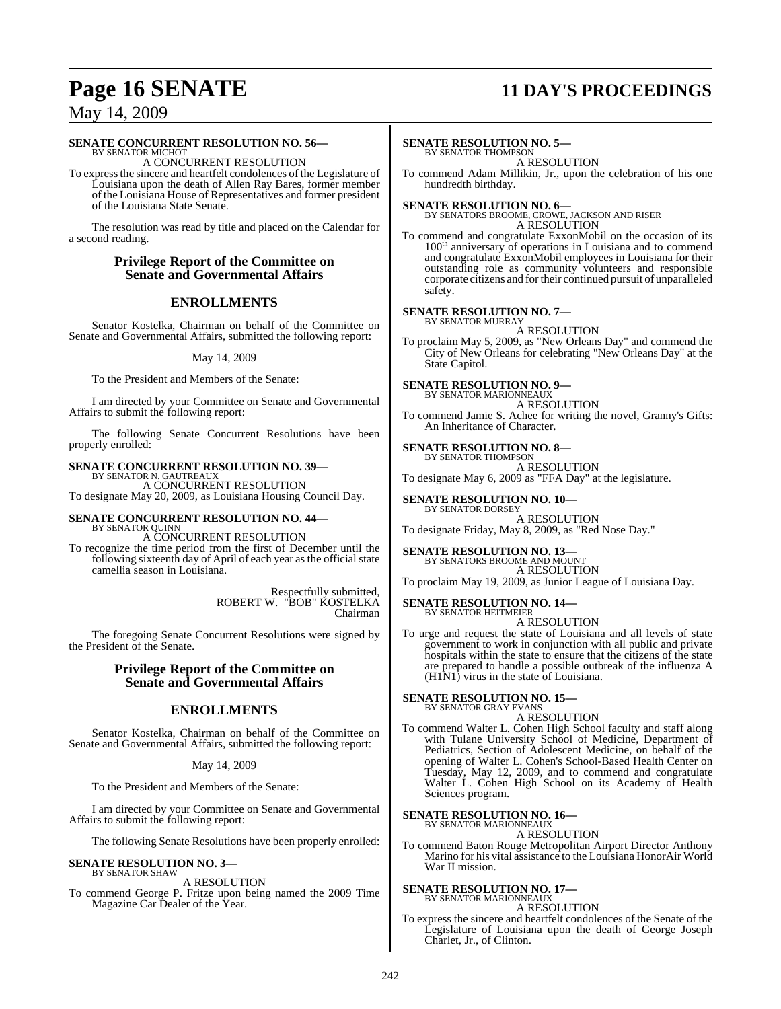## **Page 16 SENATE 11 DAY'S PROCEEDINGS**

### May 14, 2009

### **SENATE CONCURRENT RESOLUTION NO. 56—**

BY SENATOR MICHOT A CONCURRENT RESOLUTION

To expressthe sincere and heartfelt condolences of the Legislature of Louisiana upon the death of Allen Ray Bares, former member of the Louisiana House of Representatives and former president of the Louisiana State Senate.

The resolution was read by title and placed on the Calendar for a second reading.

### **Privilege Report of the Committee on Senate and Governmental Affairs**

### **ENROLLMENTS**

Senator Kostelka, Chairman on behalf of the Committee on Senate and Governmental Affairs, submitted the following report:

May 14, 2009

To the President and Members of the Senate:

I am directed by your Committee on Senate and Governmental Affairs to submit the following report:

The following Senate Concurrent Resolutions have been properly enrolled:

### **SENATE CONCURRENT RESOLUTION NO. 39—**

BY SENATOR N. GAUTREAUX A CONCURRENT RESOLUTION To designate May 20, 2009, as Louisiana Housing Council Day.

#### **SENATE CONCURRENT RESOLUTION NO. 44—** BY SENATOR QUINN

A CONCURRENT RESOLUTION

To recognize the time period from the first of December until the following sixteenth day of April of each year as the official state camellia season in Louisiana.

> Respectfully submitted, ROBERT W. "BOB" KOSTELKA Chairman

The foregoing Senate Concurrent Resolutions were signed by the President of the Senate.

### **Privilege Report of the Committee on Senate and Governmental Affairs**

### **ENROLLMENTS**

Senator Kostelka, Chairman on behalf of the Committee on Senate and Governmental Affairs, submitted the following report:

#### May 14, 2009

To the President and Members of the Senate:

I am directed by your Committee on Senate and Governmental Affairs to submit the following report:

The following Senate Resolutions have been properly enrolled:

#### **SENATE RESOLUTION NO. 3—** BY SENATOR SHAW

### A RESOLUTION

To commend George P. Fritze upon being named the 2009 Time Magazine Car Dealer of the Year.

#### **SENATE RESOLUTION NO. 5—** BY SENATOR THOMPSON

A RESOLUTION

To commend Adam Millikin, Jr., upon the celebration of his one hundredth birthday.

**SENATE RESOLUTION NO. 6—** BY SENATORS BROOME, CROWE, JACKSON AND RISER A RESOLUTION

To commend and congratulate ExxonMobil on the occasion of its 100<sup>th</sup> anniversary of operations in Louisiana and to commend and congratulate ExxonMobil employees in Louisiana for their outstanding role as community volunteers and responsible corporate citizens and fortheir continued pursuit of unparalleled safety.

### **SENATE RESOLUTION NO. 7—**

BY SENATOR MURRAY A RESOLUTION

To proclaim May 5, 2009, as "New Orleans Day" and commend the City of New Orleans for celebrating "New Orleans Day" at the State Capitol.

**SENATE RESOLUTION NO. 9—**

BY SENATOR MARIONNEAUX A RESOLUTION

To commend Jamie S. Achee for writing the novel, Granny's Gifts: An Inheritance of Character.

#### **SENATE RESOLUTION NO. 8—**

BY SENATOR THOMPSON A RESOLUTION

To designate May 6, 2009 as "FFA Day" at the legislature.

**SENATE RESOLUTION NO. 10—**

BY SENATOR DORSEY A RESOLUTION

To designate Friday, May 8, 2009, as "Red Nose Day."

**SENATE RESOLUTION NO. 13—**

BY SENATORS BROOME AND MOUNT

A RESOLUTION To proclaim May 19, 2009, as Junior League of Louisiana Day.

## **SENATE RESOLUTION NO. 14—** BY SENATOR HEITMEIER

A RESOLUTION

To urge and request the state of Louisiana and all levels of state government to work in conjunction with all public and private hospitals within the state to ensure that the citizens of the state are prepared to handle a possible outbreak of the influenza A (H1N1) virus in the state of Louisiana.

#### **SENATE RESOLUTION NO. 15—** BY SENATOR GRAY EVANS

A RESOLUTION

To commend Walter L. Cohen High School faculty and staff along with Tulane University School of Medicine, Department of Pediatrics, Section of Adolescent Medicine, on behalf of the opening of Walter L. Cohen's School-Based Health Center on Tuesday, May 12, 2009, and to commend and congratulate Walter L. Cohen High School on its Academy of Health Sciences program.

### **SENATE RESOLUTION NO. 16—** BY SENATOR MARIONNEAUX

A RESOLUTION

To commend Baton Rouge Metropolitan Airport Director Anthony Marino for his vital assistance to the Louisiana HonorAir World War II mission.

**SENATE RESOLUTION NO. 17—**

BY SENATOR MARIONNEAUX A RESOLUTION

To express the sincere and heartfelt condolences of the Senate of the Legislature of Louisiana upon the death of George Joseph Charlet, Jr., of Clinton.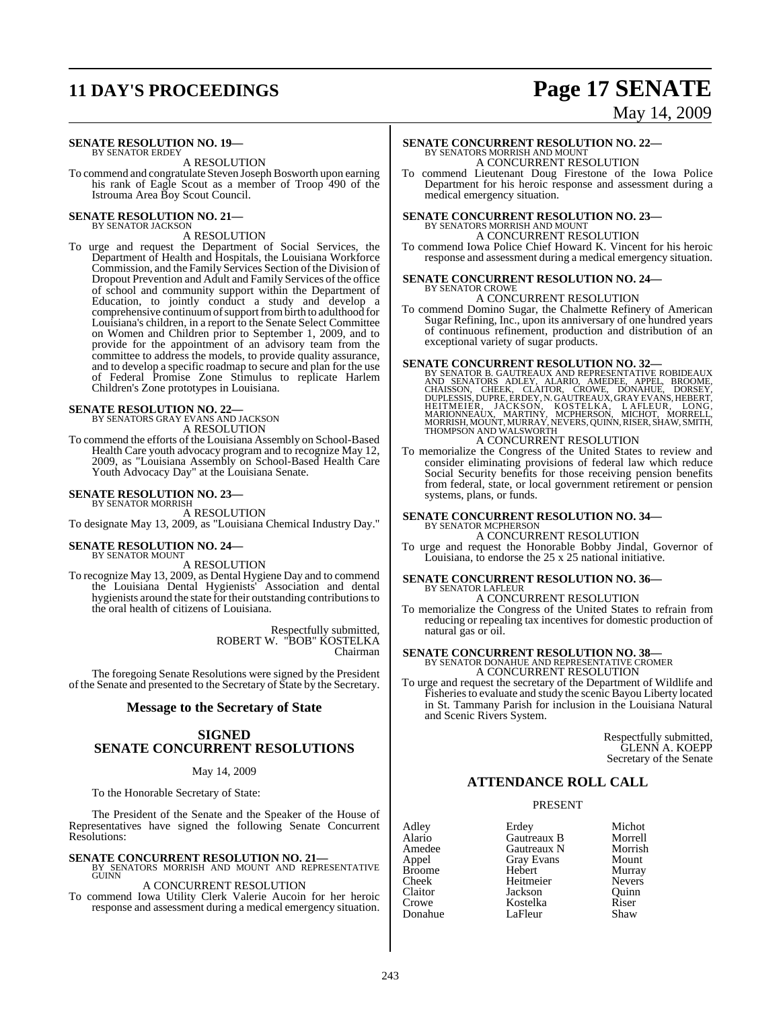## **11 DAY'S PROCEEDINGS Page 17 SENATE**

# May 14, 2009

#### **SENATE RESOLUTION NO. 19—** BY SENATOR ERDEY

A RESOLUTION

To commend and congratulate Steven Joseph Bosworth upon earning his rank of Eagle Scout as a member of Troop 490 of the Istrouma Area Boy Scout Council.

### **SENATE RESOLUTION NO. 21—** BY SENATOR JACKSON

A RESOLUTION

To urge and request the Department of Social Services, the Department of Health and Hospitals, the Louisiana Workforce Commission, and the Family Services Section of the Division of Dropout Prevention and Adult and Family Services of the office of school and community support within the Department of Education, to jointly conduct a study and develop a comprehensive continuum of support from birth to adulthood for Louisiana's children, in a report to the Senate Select Committee on Women and Children prior to September 1, 2009, and to provide for the appointment of an advisory team from the committee to address the models, to provide quality assurance, and to develop a specific roadmap to secure and plan for the use of Federal Promise Zone Stimulus to replicate Harlem Children's Zone prototypes in Louisiana.

#### **SENATE RESOLUTION NO. 22—**

BY SENATORS GRAY EVANS AND JACKSON A RESOLUTION

To commend the efforts of the Louisiana Assembly on School-Based Health Care youth advocacy program and to recognize May 12, 2009, as "Louisiana Assembly on School-Based Health Care Youth Advocacy Day" at the Louisiana Senate.

#### **SENATE RESOLUTION NO. 23—**

BY SENATOR MORRISH A RESOLUTION To designate May 13, 2009, as "Louisiana Chemical Industry Day."

## **SENATE RESOLUTION NO. 24—** BY SENATOR MOUNT

A RESOLUTION

To recognize May 13, 2009, as Dental Hygiene Day and to commend the Louisiana Dental Hygienists' Association and dental hygienists around the state for their outstanding contributionsto the oral health of citizens of Louisiana.

> Respectfully submitted, ROBERT W. "BOB" KOSTELKA Chairman

The foregoing Senate Resolutions were signed by the President of the Senate and presented to the Secretary of State by the Secretary.

#### **Message to the Secretary of State**

### **SIGNED SENATE CONCURRENT RESOLUTIONS**

#### May 14, 2009

To the Honorable Secretary of State:

The President of the Senate and the Speaker of the House of Representatives have signed the following Senate Concurrent Resolutions:

**SENATE CONCURRENT RESOLUTION NO. 21—**<br>BY SENATORS MORRISH AND MOUNT AND REPRESENTATIVE<br>GUINN

### A CONCURRENT RESOLUTION

To commend Iowa Utility Clerk Valerie Aucoin for her heroic response and assessment during a medical emergency situation.

### **SENATE CONCURRENT RESOLUTION NO. 22—**<br>BY SENATORS MORRISH AND MOUNT A CONCURRENT RESOLUTION

To commend Lieutenant Doug Firestone of the Iowa Police Department for his heroic response and assessment during a medical emergency situation.

### **SENATE CONCURRENT RESOLUTION NO. 23—** BY SENATORS MORRISH AND MOUNT

A CONCURRENT RESOLUTION

To commend Iowa Police Chief Howard K. Vincent for his heroic response and assessment during a medical emergency situation.

#### **SENATE CONCURRENT RESOLUTION NO. 24—** BY SENATOR CROWE

### A CONCURRENT RESOLUTION

To commend Domino Sugar, the Chalmette Refinery of American Sugar Refining, Inc., upon its anniversary of one hundred years of continuous refinement, production and distribution of an exceptional variety of sugar products.

**SENATE CONCURRENT RESOLUTION NO. 32—**<br>BY SENATOR B. GAUTREAUX AND REPRESENTATIVE ROBIDEAUX<br>AND SENATORS ADLEY, ALARIO, AMEDEE, APPEL, BROOME,<br>CHAISSON, CHEEK, CLAITOR, CROWE, DONAHUE, DORSEY,<br>DUPLESSIS, DUPRE, ERDEY, N. G A CONCURRENT RESOLUTION

To memorialize the Congress of the United States to review and consider eliminating provisions of federal law which reduce Social Security benefits for those receiving pension benefits from federal, state, or local government retirement or pension systems, plans, or funds.

#### **SENATE CONCURRENT RESOLUTION NO. 34—** BY SENATOR MCPHERSON

A CONCURRENT RESOLUTION

To urge and request the Honorable Bobby Jindal, Governor of Louisiana, to endorse the 25 x 25 national initiative.

## **SENATE CONCURRENT RESOLUTION NO. 36—** BY SENATOR LAFLEUR

A CONCURRENT RESOLUTION

To memorialize the Congress of the United States to refrain from reducing or repealing tax incentives for domestic production of natural gas or oil.

## **SENATE CONCURRENT RESOLUTION NO. 38—** BY SENATOR DONAHUE AND REPRESENTATIVE CROMER

A CONCURRENT RESOLUTION

To urge and request the secretary of the Department of Wildlife and Fisheries to evaluate and study the scenic Bayou Liberty located in St. Tammany Parish for inclusion in the Louisiana Natural and Scenic Rivers System.

> Respectfully submitted, GLENN A. KOEPP Secretary of the Senate

#### **ATTENDANCE ROLL CALL**

#### PRESENT

Adley Erdey Michot Cheek Heitmeier<br>Claitor Jackson Donahue

Alario Gautreaux B Morrell Amedee Gautreaux N Morrisl<br>
Appel Gray Evans Mount Gray Evans Mount<br>
Hebert Murray Broome Hebert Murray Claitor Jackson Quinn Kostelka Riser<br>LaFleur Shaw